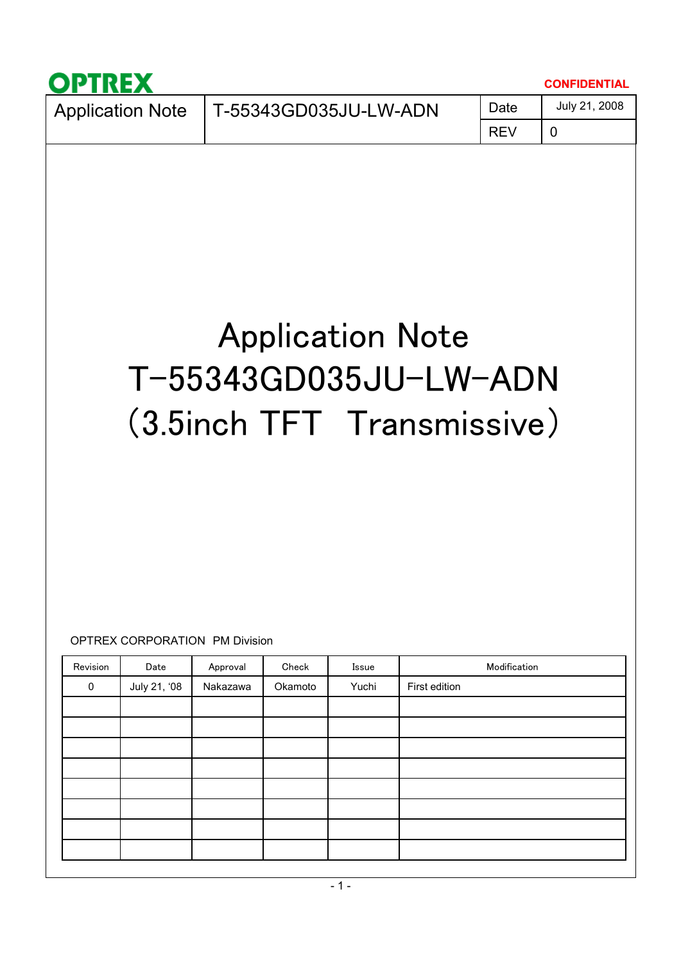|                                                                           |                                               |          |            |       |                                                                                |              | <b>CONFIDENTIAL</b> |  |  |  |  |
|---------------------------------------------------------------------------|-----------------------------------------------|----------|------------|-------|--------------------------------------------------------------------------------|--------------|---------------------|--|--|--|--|
| July 21, 2008<br>Date<br>T-55343GD035JU-LW-ADN<br><b>Application Note</b> |                                               |          |            |       |                                                                                |              |                     |  |  |  |  |
|                                                                           |                                               |          | <b>REV</b> | 0     |                                                                                |              |                     |  |  |  |  |
| Revision                                                                  | <b>OPTREX CORPORATION PM Division</b><br>Date | Approval | Check      | Issue | <b>Application Note</b><br>T-55343GD035JU-LW-ADN<br>(3.5inch TFT Transmissive) | Modification |                     |  |  |  |  |
| 0                                                                         | July 21, '08                                  | Nakazawa | Okamoto    | Yuchi | First edition                                                                  |              |                     |  |  |  |  |
|                                                                           |                                               |          |            |       |                                                                                |              |                     |  |  |  |  |
|                                                                           |                                               |          |            |       |                                                                                |              |                     |  |  |  |  |
|                                                                           |                                               |          |            |       |                                                                                |              |                     |  |  |  |  |
|                                                                           |                                               |          |            |       |                                                                                |              |                     |  |  |  |  |
|                                                                           |                                               |          |            |       |                                                                                |              |                     |  |  |  |  |
|                                                                           |                                               |          |            |       |                                                                                |              |                     |  |  |  |  |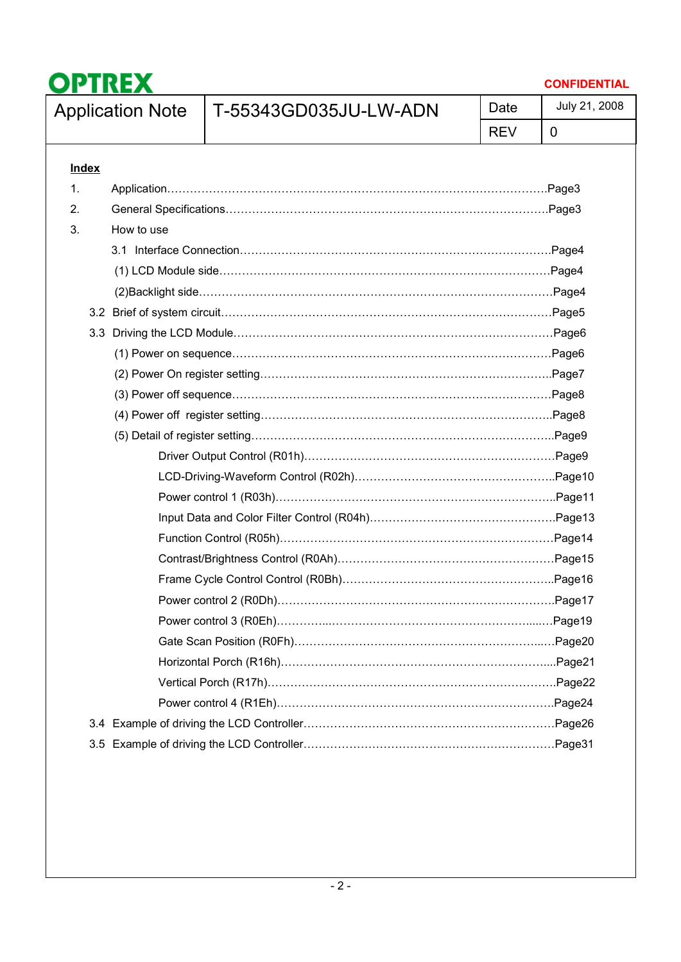

3.5 Example of driving the LCD Controller…………………………………………………………Page31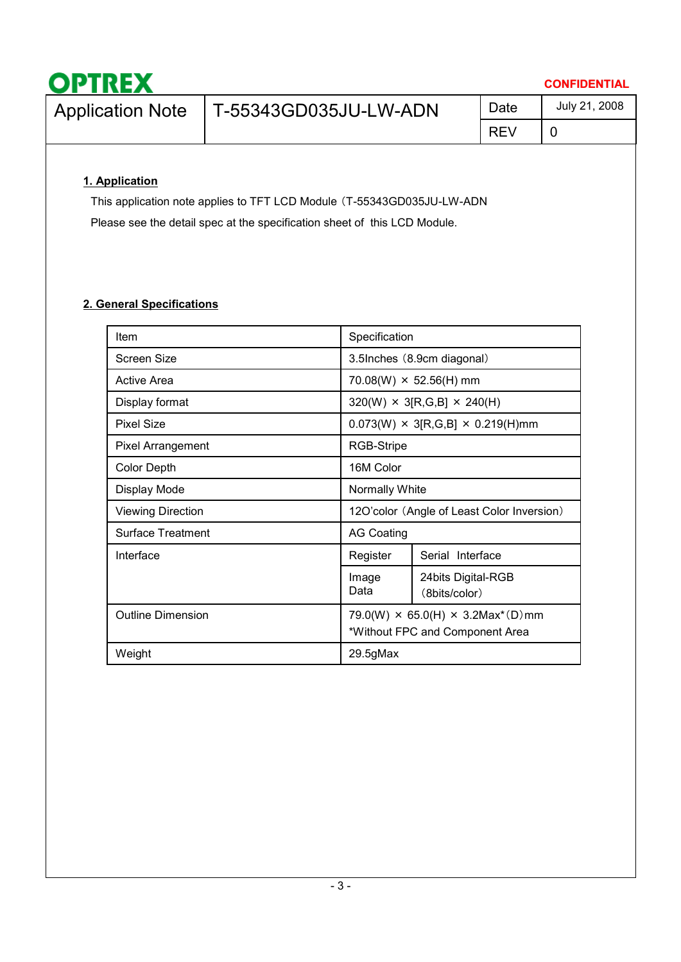| <b>OPTREX</b>           |                       |            | <b>CONFIDENTIAL</b> |
|-------------------------|-----------------------|------------|---------------------|
| <b>Application Note</b> | T-55343GD035JU-LW-ADN | Date       | July 21, 2008       |
|                         |                       | <b>REV</b> |                     |

### **1. Application**

This application note applies to TFT LCD Module (T-55343GD035JU-LW-ADN Please see the detail spec at the specification sheet of this LCD Module.

### **2. General Specifications**

| Item                     | Specification                                                                                  |                                               |  |  |  |  |
|--------------------------|------------------------------------------------------------------------------------------------|-----------------------------------------------|--|--|--|--|
| Screen Size              | 3.5Inches (8.9cm diagonal)                                                                     |                                               |  |  |  |  |
| Active Area              |                                                                                                | $70.08(W) \times 52.56(H)$ mm                 |  |  |  |  |
| Display format           |                                                                                                | $320(W) \times 3[R, G, B] \times 240(H)$      |  |  |  |  |
| <b>Pixel Size</b>        |                                                                                                | $0.073(W) \times 3[R,G,B] \times 0.219(H)$ mm |  |  |  |  |
| <b>Pixel Arrangement</b> | RGB-Stripe                                                                                     |                                               |  |  |  |  |
| <b>Color Depth</b>       | 16M Color                                                                                      |                                               |  |  |  |  |
| Display Mode             | Normally White                                                                                 |                                               |  |  |  |  |
| <b>Viewing Direction</b> | 12O'color (Angle of Least Color Inversion)                                                     |                                               |  |  |  |  |
| <b>Surface Treatment</b> | <b>AG Coating</b>                                                                              |                                               |  |  |  |  |
| Interface                | Register                                                                                       | Serial Interface                              |  |  |  |  |
|                          | Image<br>Data                                                                                  | 24 bits Digital-RGB<br>(8bits/color)          |  |  |  |  |
| <b>Outline Dimension</b> | 79.0(W) $\times$ 65.0(H) $\times$ 3.2Max <sup>*</sup> (D)mm<br>*Without FPC and Component Area |                                               |  |  |  |  |
| Weight                   | 29.5gMax                                                                                       |                                               |  |  |  |  |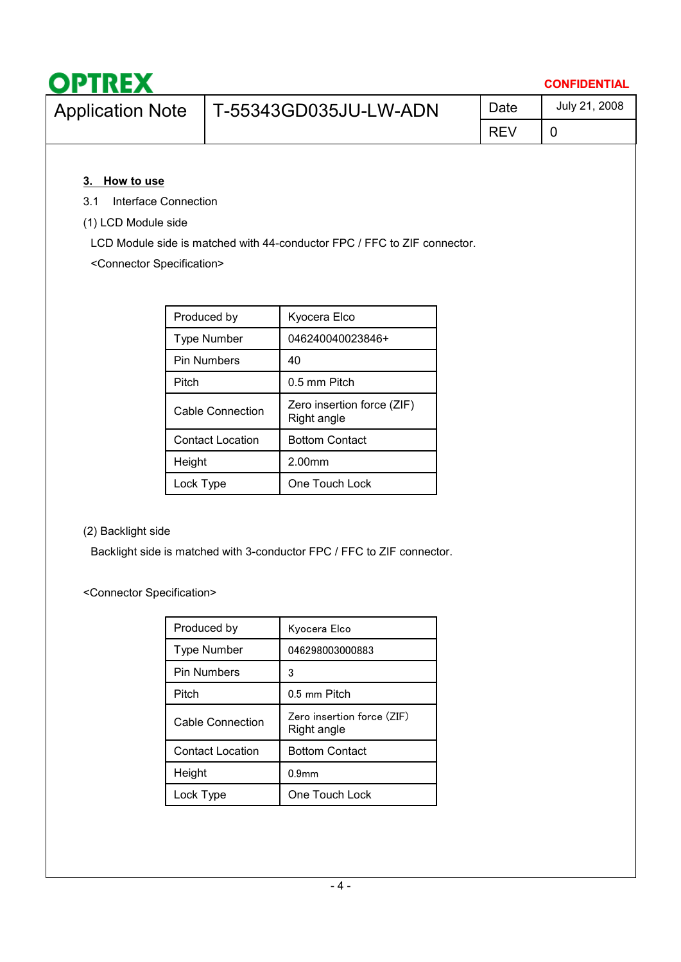| <b>OPTREX</b>               |                       |            | <b>CONFIDENTIAL</b> |
|-----------------------------|-----------------------|------------|---------------------|
| <b>Application Note</b>     | T-55343GD035JU-LW-ADN | Date       | July 21, 2008       |
|                             |                       | <b>REV</b> |                     |
| How to use<br>3.            |                       |            |                     |
| Interface Connection<br>3.1 |                       |            |                     |

(1) LCD Module side

LCD Module side is matched with 44-conductor FPC / FFC to ZIF connector.

<Connector Specification>

| Produced by             | Kyocera Elco                              |
|-------------------------|-------------------------------------------|
| Type Number             | 046240040023846+                          |
| <b>Pin Numbers</b>      | 40                                        |
| Pitch                   | 0.5 mm Pitch                              |
| Cable Connection        | Zero insertion force (ZIF)<br>Right angle |
| <b>Contact Location</b> | <b>Bottom Contact</b>                     |
| Height                  | 2.00mm                                    |
| Lock Type               | One Touch Lock                            |

(2) Backlight side

Backlight side is matched with 3-conductor FPC / FFC to ZIF connector.

<Connector Specification>

| Produced by             | Kyocera Elco                              |
|-------------------------|-------------------------------------------|
| Type Number             | 046298003000883                           |
| <b>Pin Numbers</b>      | 3                                         |
| Pitch                   | 0.5 mm Pitch                              |
| Cable Connection        | Zero insertion force (ZIF)<br>Right angle |
| <b>Contact Location</b> | <b>Bottom Contact</b>                     |
| Height                  | 0.9 <sub>mm</sub>                         |
| Lock Type               | One Touch Lock                            |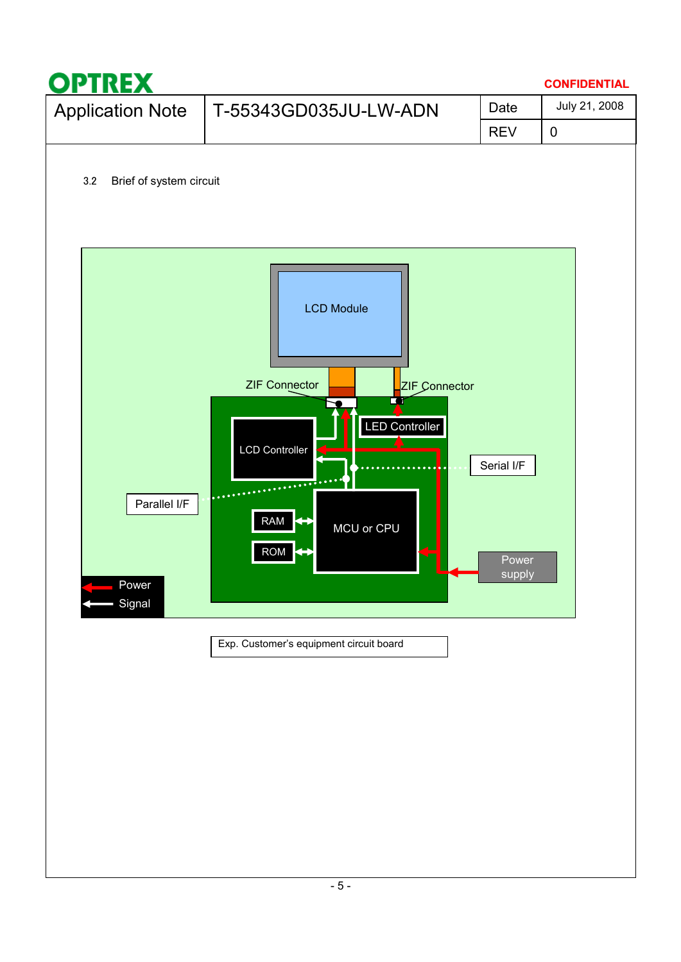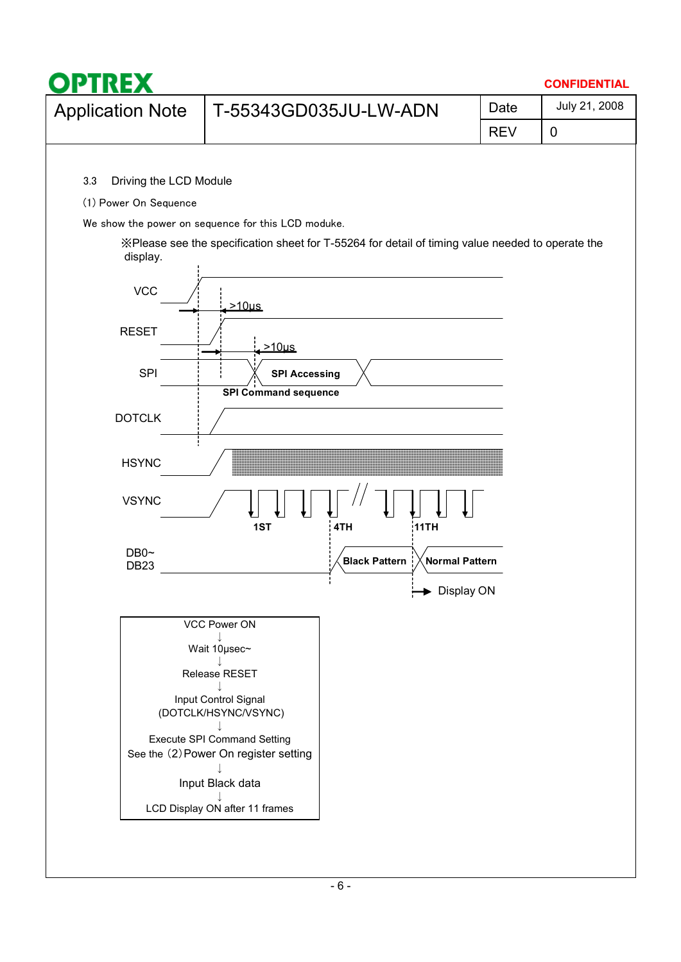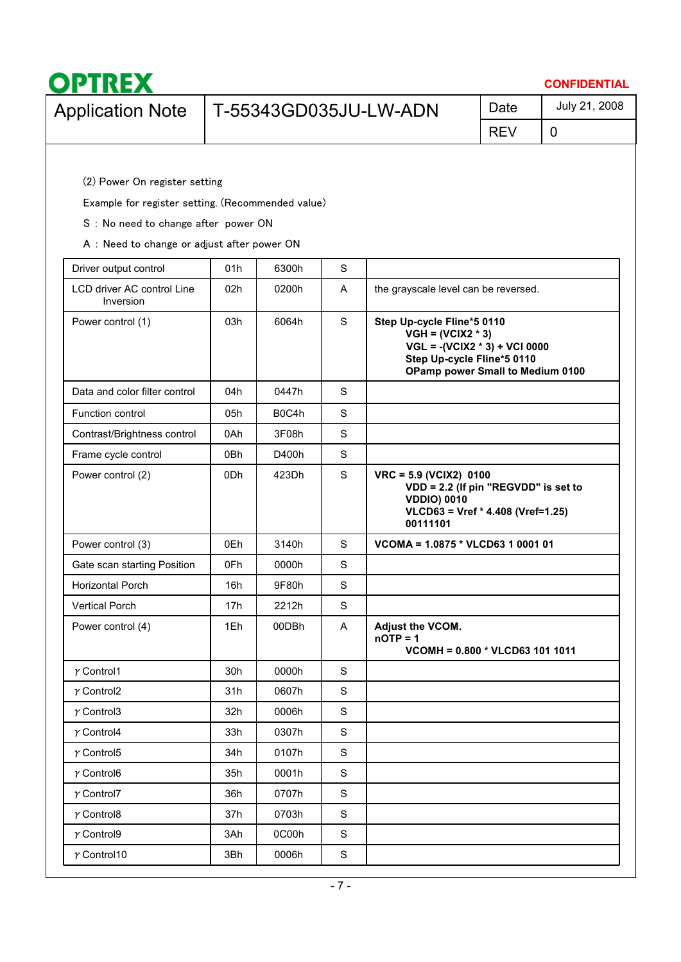| <b>OPTREX</b><br><b>CONFIDENTIAL</b> |                                                   |            |               |  |  |  |  |  |  |  |  |
|--------------------------------------|---------------------------------------------------|------------|---------------|--|--|--|--|--|--|--|--|
| <b>Application Note</b>              | T-55343GD035JU-LW-ADN                             | Date       | July 21, 2008 |  |  |  |  |  |  |  |  |
|                                      |                                                   | <b>REV</b> | 0             |  |  |  |  |  |  |  |  |
|                                      |                                                   |            |               |  |  |  |  |  |  |  |  |
|                                      | (2) Power On register setting                     |            |               |  |  |  |  |  |  |  |  |
|                                      | Example for register setting. (Recommended value) |            |               |  |  |  |  |  |  |  |  |

S : No need to change after power ON

A : Need to change or adjust after power ON

| Driver output control                   | 01h             | 6300h | $\mathbf S$ |                                                                                                                                                        |
|-----------------------------------------|-----------------|-------|-------------|--------------------------------------------------------------------------------------------------------------------------------------------------------|
| LCD driver AC control Line<br>Inversion | 02 <sub>h</sub> | 0200h | Α           | the grayscale level can be reversed.                                                                                                                   |
| Power control (1)                       | 03h             | 6064h | $\mathsf S$ | Step Up-cycle Fline*5 0110<br>$VGH = (VCIX2 * 3)$<br>$VGL = -(VCIX2 * 3) + VCI 0000$<br>Step Up-cycle Fline*5 0110<br>OPamp power Small to Medium 0100 |
| Data and color filter control           | 04h             | 0447h | S           |                                                                                                                                                        |
| Function control                        | 05h             | B0C4h | S           |                                                                                                                                                        |
| Contrast/Brightness control             | 0Ah             | 3F08h | S           |                                                                                                                                                        |
| Frame cycle control                     | 0Bh             | D400h | S           |                                                                                                                                                        |
| Power control (2)                       | 0Dh             | 423Dh | S           | VRC = 5.9 (VCIX2) 0100<br>VDD = 2.2 (If pin "REGVDD" is set to<br><b>VDDIO) 0010</b><br>VLCD63 = Vref * 4.408 (Vref=1.25)<br>00111101                  |
| Power control (3)                       | 0Eh             | 3140h | $\mathbf S$ | VCOMA = 1.0875 * VLCD63 1 0001 01                                                                                                                      |
| Gate scan starting Position             | 0Fh             | 0000h | S           |                                                                                                                                                        |
| Horizontal Porch                        | 16h             | 9F80h | $\mathbf S$ |                                                                                                                                                        |
| <b>Vertical Porch</b>                   | 17 <sub>h</sub> | 2212h | $\mathbf S$ |                                                                                                                                                        |
| Power control (4)                       | 1Eh             | 00DBh | A           | Adjust the VCOM.<br>$n$ OTP = 1<br>VCOMH = 0.800 * VLCD63 101 1011                                                                                     |
| $\gamma$ Control1                       | 30h             | 0000h | $\mathbf S$ |                                                                                                                                                        |
| $\gamma$ Control2                       | 31h             | 0607h | $\mathbf S$ |                                                                                                                                                        |
| $\gamma$ Control3                       | 32h             | 0006h | $\mathbf S$ |                                                                                                                                                        |
| $\gamma$ Control4                       | 33h             | 0307h | S           |                                                                                                                                                        |
| $\gamma$ Control5                       | 34h             | 0107h | $\mathbf S$ |                                                                                                                                                        |
| $\gamma$ Control6                       | 35h             | 0001h | S           |                                                                                                                                                        |
| $\gamma$ Control7                       | 36h             | 0707h | $\mathbf S$ |                                                                                                                                                        |
| $\gamma$ Control8                       | 37h             | 0703h | $\mathbf S$ |                                                                                                                                                        |
| $\gamma$ Control9                       | 3Ah             | 0C00h | $\mathbf S$ |                                                                                                                                                        |
| $\gamma$ Control10                      | 3Bh             | 0006h | $\mathbf S$ |                                                                                                                                                        |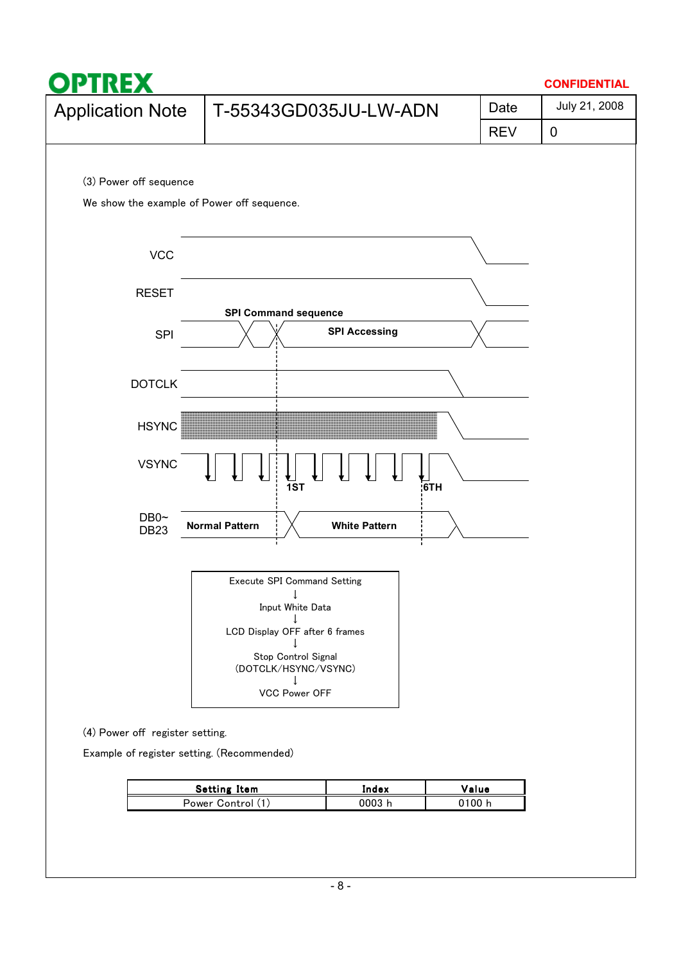

| Setting Item      | Index | Value  |
|-------------------|-------|--------|
| Power Control (1) | 0003. | ງ100 I |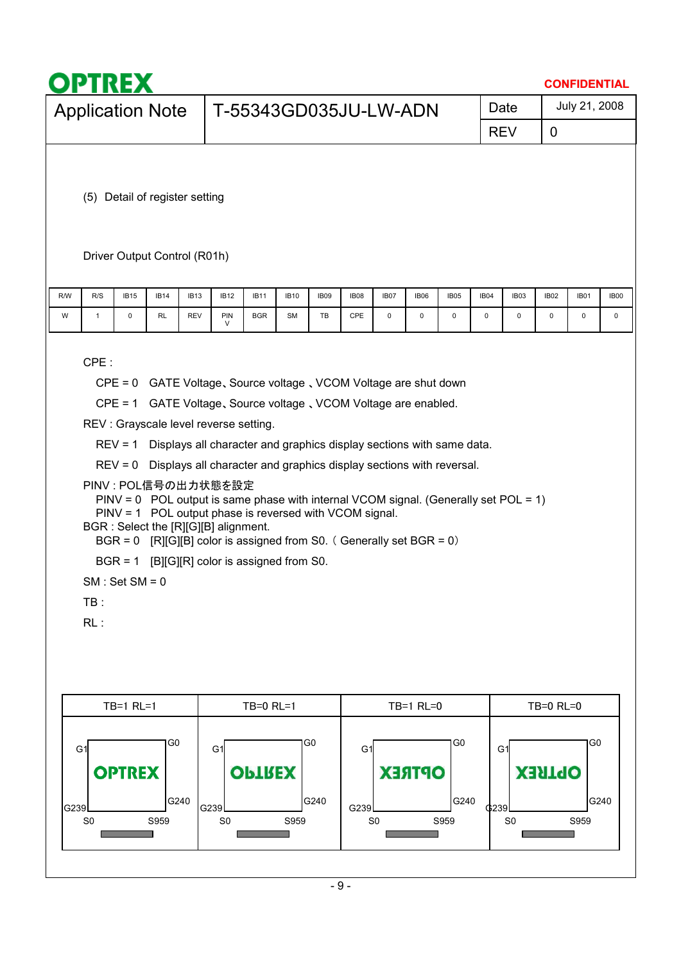| July 21, 2008<br>Date<br><b>Application Note</b><br>T-55343GD035JU-LW-ADN<br><b>REV</b><br>0<br>(5) Detail of register setting<br>Driver Output Control (R01h)<br>R/S<br>R/W<br><b>IB15</b><br><b>IB14</b><br><b>IB13</b><br><b>IB12</b><br><b>IB11</b><br><b>IB10</b><br>IB09<br><b>IB08</b><br>IB07<br><b>IB06</b><br><b>IB05</b><br>IB04<br>IB03<br><b>IB02</b><br><b>IB01</b><br>PIN<br><b>BGR</b><br>CPE<br>0<br>0<br>$\mathsf 0$<br>W<br>$\mathbf{1}$<br>0<br>RL<br><b>REV</b><br><b>SM</b><br>TB<br>$\mathbf 0$<br>0<br>0<br>0<br>V<br>CPE:<br>CPE = 0 GATE Voltage, Source voltage, VCOM Voltage are shut down<br>CPE = 1 GATE Voltage, Source voltage, VCOM Voltage are enabled.<br>REV : Grayscale level reverse setting.<br>REV = 1 Displays all character and graphics display sections with same data.<br>REV = 0 Displays all character and graphics display sections with reversal.<br>PINV : POL信号の出力状態を設定<br>$PINV = 0$ POL output is same phase with internal VCOM signal. (Generally set POL = 1)<br>PINV = 1 POL output phase is reversed with VCOM signal.<br>BGR : Select the [R][G][B] alignment.<br>BGR = $0$ [R][G][B] color is assigned from S0. (Generally set BGR = 0)<br>$BGR = 1$ [B][G][R] color is assigned from S0.<br>$SM: Set SM = 0$<br>TB:<br>RL:<br>TB=1 RL=0<br>TB=1 RL=1<br>$TB=0$ RL=1<br><b>TB=0 RL=0</b><br>G <sub>0</sub><br>G0<br>G0<br>G0<br>G1<br>G <sub>1</sub><br>G1<br>G1<br><b>OPTREX</b><br><b>OPTREX</b><br><b>OPTREX</b><br><b>OPTREX</b> |  | <b>OPTREX</b><br><b>CONFIDENTIAL</b> |  |  |  |  |  |  |  |  |  |  |  |  |  |             |
|-------------------------------------------------------------------------------------------------------------------------------------------------------------------------------------------------------------------------------------------------------------------------------------------------------------------------------------------------------------------------------------------------------------------------------------------------------------------------------------------------------------------------------------------------------------------------------------------------------------------------------------------------------------------------------------------------------------------------------------------------------------------------------------------------------------------------------------------------------------------------------------------------------------------------------------------------------------------------------------------------------------------------------------------------------------------------------------------------------------------------------------------------------------------------------------------------------------------------------------------------------------------------------------------------------------------------------------------------------------------------------------------------------------------------------------------------------------------------------------------------|--|--------------------------------------|--|--|--|--|--|--|--|--|--|--|--|--|--|-------------|
|                                                                                                                                                                                                                                                                                                                                                                                                                                                                                                                                                                                                                                                                                                                                                                                                                                                                                                                                                                                                                                                                                                                                                                                                                                                                                                                                                                                                                                                                                                 |  |                                      |  |  |  |  |  |  |  |  |  |  |  |  |  |             |
|                                                                                                                                                                                                                                                                                                                                                                                                                                                                                                                                                                                                                                                                                                                                                                                                                                                                                                                                                                                                                                                                                                                                                                                                                                                                                                                                                                                                                                                                                                 |  |                                      |  |  |  |  |  |  |  |  |  |  |  |  |  |             |
|                                                                                                                                                                                                                                                                                                                                                                                                                                                                                                                                                                                                                                                                                                                                                                                                                                                                                                                                                                                                                                                                                                                                                                                                                                                                                                                                                                                                                                                                                                 |  |                                      |  |  |  |  |  |  |  |  |  |  |  |  |  |             |
|                                                                                                                                                                                                                                                                                                                                                                                                                                                                                                                                                                                                                                                                                                                                                                                                                                                                                                                                                                                                                                                                                                                                                                                                                                                                                                                                                                                                                                                                                                 |  |                                      |  |  |  |  |  |  |  |  |  |  |  |  |  | <b>IB00</b> |
|                                                                                                                                                                                                                                                                                                                                                                                                                                                                                                                                                                                                                                                                                                                                                                                                                                                                                                                                                                                                                                                                                                                                                                                                                                                                                                                                                                                                                                                                                                 |  |                                      |  |  |  |  |  |  |  |  |  |  |  |  |  | 0           |
|                                                                                                                                                                                                                                                                                                                                                                                                                                                                                                                                                                                                                                                                                                                                                                                                                                                                                                                                                                                                                                                                                                                                                                                                                                                                                                                                                                                                                                                                                                 |  |                                      |  |  |  |  |  |  |  |  |  |  |  |  |  |             |
|                                                                                                                                                                                                                                                                                                                                                                                                                                                                                                                                                                                                                                                                                                                                                                                                                                                                                                                                                                                                                                                                                                                                                                                                                                                                                                                                                                                                                                                                                                 |  |                                      |  |  |  |  |  |  |  |  |  |  |  |  |  |             |
| G240<br>G240<br>G240<br>G240<br>G239<br>\$239<br>G239<br>G239<br>S959<br>S <sub>0</sub><br>S959<br>S <sub>0</sub><br>S959<br>S <sub>0</sub><br>S <sub>0</sub><br>S959                                                                                                                                                                                                                                                                                                                                                                                                                                                                                                                                                                                                                                                                                                                                                                                                                                                                                                                                                                                                                                                                                                                                                                                                                                                                                                                           |  |                                      |  |  |  |  |  |  |  |  |  |  |  |  |  |             |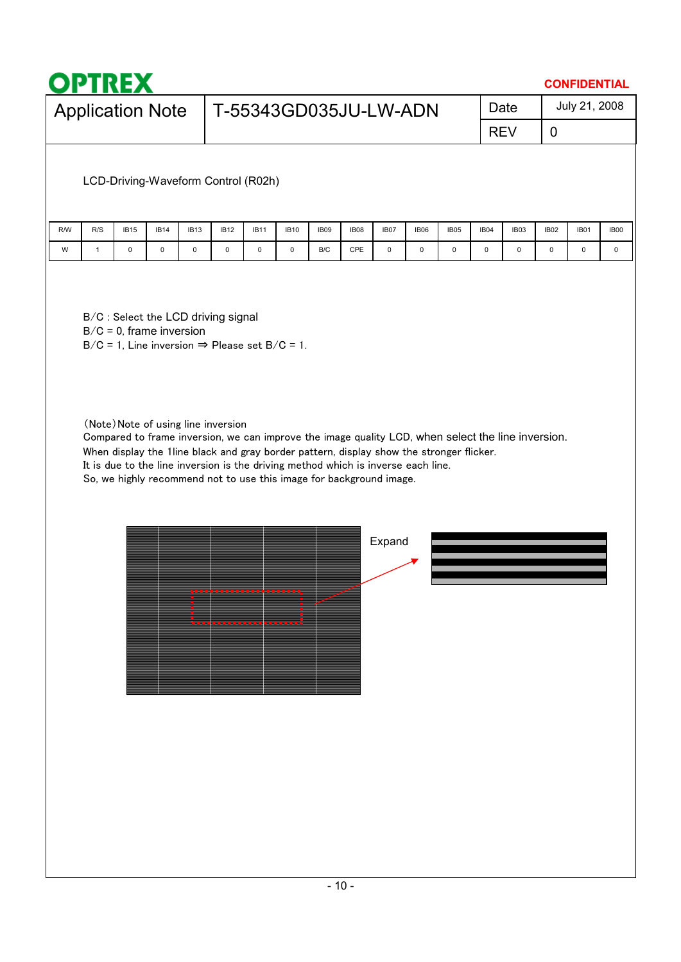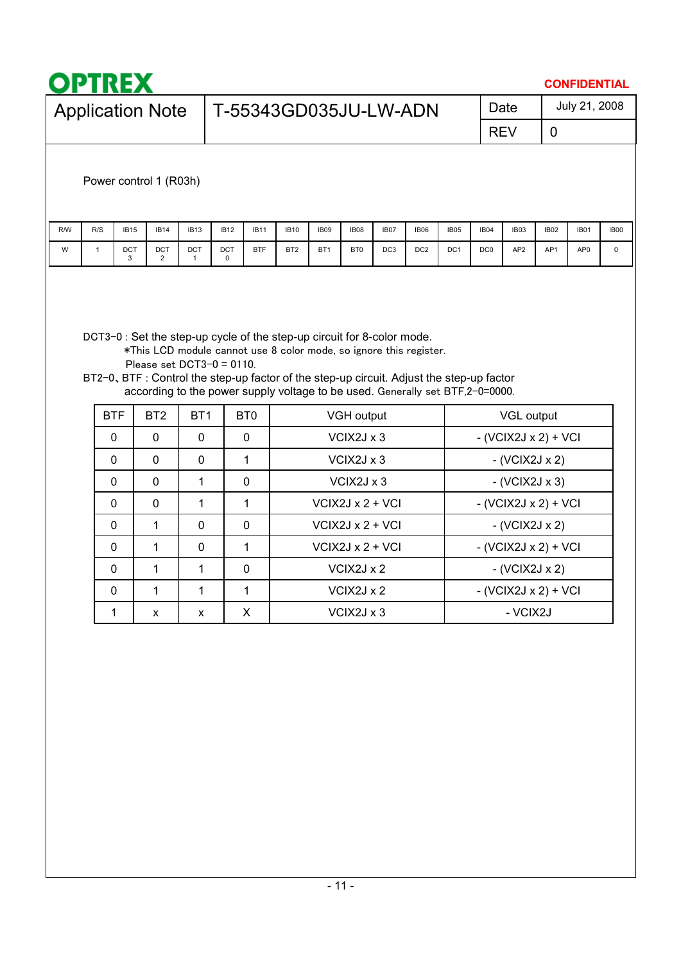| <b>Application Note</b><br>R/W<br>R/S<br>W<br>$\mathbf{1}$ |                                          |                    | T-55343GD035JU-LW-ADN                                                                                                                                                                                                                            |                          |                 |                                      |                 |                 |             |                                      | Date<br><b>REV</b>     | $\mathbf 0$ | July 21, 2008   |             |
|------------------------------------------------------------|------------------------------------------|--------------------|--------------------------------------------------------------------------------------------------------------------------------------------------------------------------------------------------------------------------------------------------|--------------------------|-----------------|--------------------------------------|-----------------|-----------------|-------------|--------------------------------------|------------------------|-------------|-----------------|-------------|
|                                                            |                                          |                    |                                                                                                                                                                                                                                                  |                          |                 |                                      |                 |                 |             |                                      |                        |             |                 |             |
|                                                            |                                          |                    |                                                                                                                                                                                                                                                  |                          |                 |                                      |                 |                 |             |                                      |                        |             |                 |             |
|                                                            | Power control 1 (R03h)                   |                    |                                                                                                                                                                                                                                                  |                          |                 |                                      |                 |                 |             |                                      |                        |             |                 |             |
|                                                            | <b>IB15</b><br><b>IB14</b>               | <b>IB13</b>        | <b>IB12</b><br><b>IB11</b>                                                                                                                                                                                                                       | <b>IB10</b>              | <b>IB09</b>     | <b>IB08</b>                          | <b>IB07</b>     | <b>IB06</b>     | <b>IB05</b> | IB04                                 | IB03                   | <b>IB02</b> | <b>IB01</b>     | <b>IB00</b> |
|                                                            | DCT<br><b>DCT</b><br>3<br>$\overline{2}$ | DCT<br>1           | <b>BTF</b><br>DCT<br>0                                                                                                                                                                                                                           | BT <sub>2</sub>          | BT <sub>1</sub> | BT0                                  | DC <sub>3</sub> | DC <sub>2</sub> | DC1         | DC <sub>0</sub>                      | AP <sub>2</sub>        | AP1         | AP <sub>0</sub> | $\mathsf 0$ |
|                                                            | Please set $DCT3-0 = 0110$ .             |                    | *This LCD module cannot use 8 color mode, so ignore this register.<br>BT2-0, BTF : Control the step-up factor of the step-up circuit. Adjust the step-up factor<br>according to the power supply voltage to be used. Generally set BTF,2-0=0000. |                          |                 |                                      |                 |                 |             |                                      |                        |             |                 |             |
| <b>BTF</b>                                                 | BT <sub>2</sub>                          | BT <sub>1</sub>    | BT <sub>0</sub>                                                                                                                                                                                                                                  | VGH output<br>VGL output |                 |                                      |                 |                 |             |                                      |                        |             |                 |             |
| $\mathbf 0$                                                | 0                                        | $\mathbf 0$        | $\mathbf 0$                                                                                                                                                                                                                                      |                          |                 | VCIX2J x 3                           |                 |                 |             |                                      | $-(VCIX2Jx2) + VCI$    |             |                 |             |
| 0                                                          | 0                                        | $\mathbf 0$        | 1                                                                                                                                                                                                                                                |                          |                 | VCIX2J x 3                           |                 |                 |             | $-(VCIX2Jx2)$                        |                        |             |                 |             |
| $\mathbf 0$                                                | 0                                        | 1                  | $\mathbf 0$                                                                                                                                                                                                                                      |                          |                 | VCIX2J x 3                           |                 |                 |             | $-(VCIX2Jx3)$                        |                        |             |                 |             |
| $\mathbf 0$<br>$\mathbf 0$                                 | 0<br>$\mathbf{1}$                        | 1<br>$\mathbf 0$   | $\mathbf{1}$<br>$\mathbf 0$                                                                                                                                                                                                                      |                          |                 | VCIX2J x 2 + VCI<br>$VCIX2JX2 + VCI$ |                 |                 |             | $-(VCIX2Jx2) + VCI$<br>$-(VCIX2Jx2)$ |                        |             |                 |             |
| $\mathbf 0$                                                | 1                                        | 0                  | 1                                                                                                                                                                                                                                                |                          |                 | $VCIX2Jx2 + VCI$                     |                 |                 |             |                                      | $-(VCIX2Jx2) + VCI$    |             |                 |             |
| 0                                                          | 1                                        | 1                  | $\mathbf 0$                                                                                                                                                                                                                                      |                          |                 | VCIX2J x 2                           |                 |                 |             |                                      | $-(VCIX2Jx2)$          |             |                 |             |
| $\pmb{0}$                                                  | $\mathbf{1}$                             | 1                  | $\mathbf{1}$                                                                                                                                                                                                                                     |                          |                 | VCIX2J x 2                           |                 |                 |             |                                      | $-$ (VCIX2J x 2) + VCI |             |                 |             |
| $\mathbf{1}$                                               | $\pmb{\mathsf{X}}$                       | $\pmb{\mathsf{x}}$ | $\pmb{\times}$                                                                                                                                                                                                                                   | VCIX2J x 3<br>- VCIX2J   |                 |                                      |                 |                 |             |                                      |                        |             |                 |             |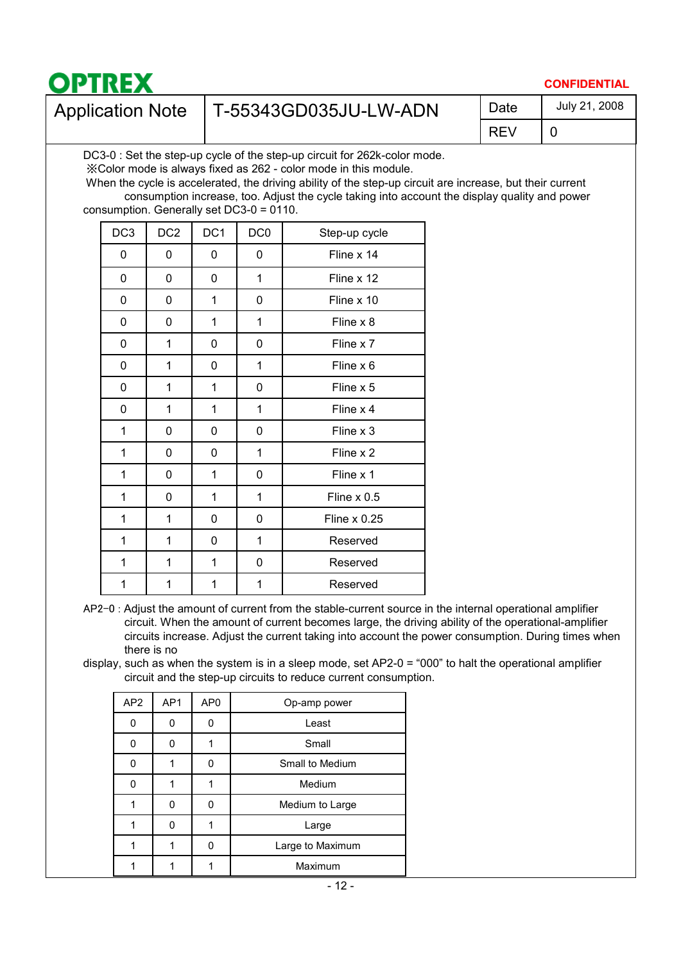

#### **CONFIDENTIAL**

July 21, 2008

## Application Note | T-55343GD035JU-LW-ADN | Date

REV

0

DC3-0 : Set the step-up cycle of the step-up circuit for 262k-color mode.

㶎Color mode is always fixed as 262 - color mode in this module.

When the cycle is accelerated, the driving ability of the step-up circuit are increase, but their current consumption increase, too. Adjust the cycle taking into account the display quality and power consumption. Generally set DC3-0 = 0110.

| DC <sub>3</sub> | DC <sub>2</sub> | DC <sub>1</sub> | DC <sub>0</sub> | Step-up cycle       |
|-----------------|-----------------|-----------------|-----------------|---------------------|
| 0               | 0               | 0               | 0               | Fline x 14          |
| 0               | 0               | 0               | 1               | Fline x 12          |
| 0               | 0               | 1               | 0               | Fline x 10          |
| 0               | 0               | 1               | 1               | Fline x 8           |
| 0               | 1               | 0               | 0               | Fline x 7           |
| 0               | 1               | 0               | 1               | Fline x 6           |
| 0               | 1               | 1               | 0               | Fline x 5           |
| 0               | 1               | 1               | 1               | Fline x 4           |
| 1               | 0               | 0               | 0               | Fline x 3           |
| 1               | 0               | 0               | 1               | Fline x 2           |
| 1               | 0               | 1               | 0               | Fline x 1           |
| 1               | 0               | 1               | 1               | Fline x 0.5         |
| 1               | 1               | 0               | 0               | <b>Fline x 0.25</b> |
| 1               | 1               | 0               | 1               | Reserved            |
| 1               | 1               | 1               | 0               | Reserved            |
| 1               | 1               | 1               | 1               | Reserved            |

- AP2-0 : Adjust the amount of current from the stable-current source in the internal operational amplifier circuit. When the amount of current becomes large, the driving ability of the operational-amplifier circuits increase. Adjust the current taking into account the power consumption. During times when there is no
- display, such as when the system is in a sleep mode, set AP2-0 = "000" to halt the operational amplifier circuit and the step-up circuits to reduce current consumption.

| AP <sub>2</sub> | AP1 | AP <sub>0</sub> | Op-amp power     |
|-----------------|-----|-----------------|------------------|
| 0               | U   | ŋ               | Least            |
| n               |     |                 | Small            |
| n               |     |                 | Small to Medium  |
|                 |     |                 | Medium           |
|                 | U   | U               | Medium to Large  |
|                 |     |                 | Large            |
|                 |     |                 | Large to Maximum |
|                 |     |                 | Maximum          |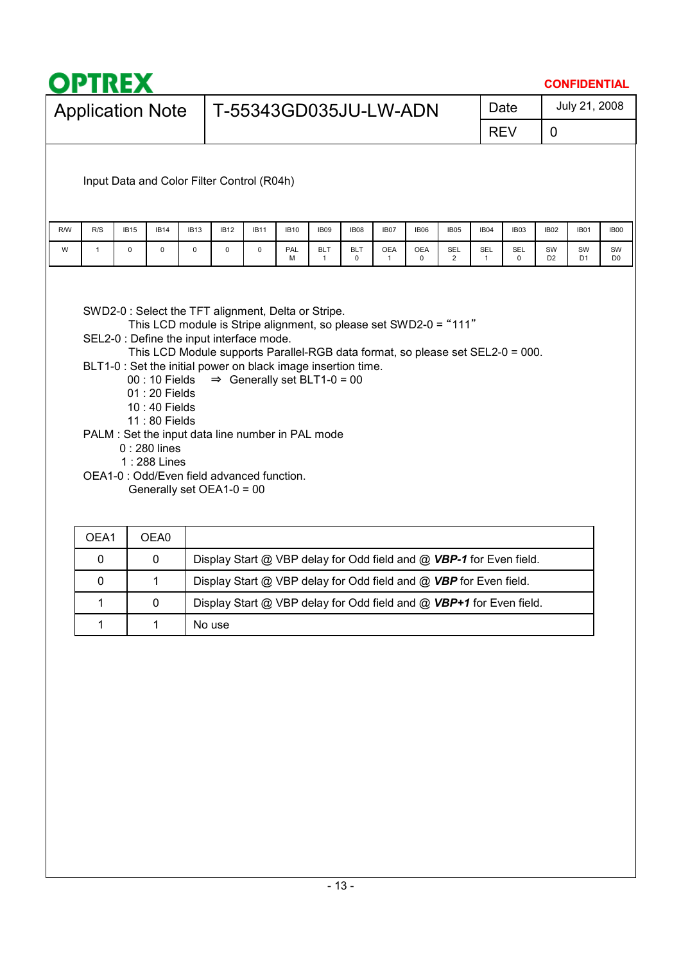|     | <b>OPTREX</b>           |             |                                                                                                                                                                         |             |             |             |                                                                                                                                                               |                            |                           |                            |                 |                              |                     |            |                      | <b>CONFIDENTIAL</b>  |                      |
|-----|-------------------------|-------------|-------------------------------------------------------------------------------------------------------------------------------------------------------------------------|-------------|-------------|-------------|---------------------------------------------------------------------------------------------------------------------------------------------------------------|----------------------------|---------------------------|----------------------------|-----------------|------------------------------|---------------------|------------|----------------------|----------------------|----------------------|
|     | <b>Application Note</b> |             |                                                                                                                                                                         |             |             |             | T-55343GD035JU-LW-ADN                                                                                                                                         |                            |                           |                            |                 |                              |                     | Date       |                      | July 21, 2008        |                      |
|     |                         |             |                                                                                                                                                                         |             |             |             |                                                                                                                                                               |                            |                           |                            |                 |                              |                     | <b>REV</b> | $\overline{0}$       |                      |                      |
|     |                         |             | Input Data and Color Filter Control (R04h)                                                                                                                              |             |             |             |                                                                                                                                                               |                            |                           |                            |                 |                              |                     |            |                      |                      |                      |
| R/W | R/S                     | <b>IB15</b> | <b>IB14</b>                                                                                                                                                             | <b>IB13</b> | <b>IB12</b> | <b>IB11</b> | <b>IB10</b>                                                                                                                                                   | <b>IB09</b>                | <b>IB08</b>               | <b>IB07</b>                | <b>IB06</b>     | <b>IB05</b>                  | IB <sub>04</sub>    | IB03       | <b>IB02</b>          | <b>IB01</b>          | <b>IB00</b>          |
| W   | $\mathbf{1}$            | $\mathbf 0$ | 0                                                                                                                                                                       | $\mathbf 0$ | $\mathbf 0$ | $\mathbf 0$ | PAL<br>м                                                                                                                                                      | <b>BLT</b><br>$\mathbf{1}$ | <b>BLT</b><br>$\mathbf 0$ | <b>OEA</b><br>$\mathbf{1}$ | <b>OEA</b><br>0 | <b>SEL</b><br>$\overline{2}$ | SEL<br>$\mathbf{1}$ | SEL<br>0   | SW<br>D <sub>2</sub> | SW<br>D <sub>1</sub> | SW<br>D <sub>0</sub> |
|     |                         |             | 00:10 Fields<br>01:20 Fields<br>10:40 Fields<br>11:80 Fields<br>$0:280$ lines<br>1:288 Lines<br>OEA1-0 : Odd/Even field advanced function.<br>Generally set OEA1-0 = 00 |             |             |             | BLT1-0 : Set the initial power on black image insertion time.<br>$\Rightarrow$ Generally set BLT1-0 = 00<br>PALM : Set the input data line number in PAL mode |                            |                           |                            |                 |                              |                     |            |                      |                      |                      |
|     | OEA1                    |             | OEA0                                                                                                                                                                    |             |             |             |                                                                                                                                                               |                            |                           |                            |                 |                              |                     |            |                      |                      |                      |
|     | $\mathbf 0$             |             | $\mathbf 0$                                                                                                                                                             |             |             |             | Display Start @ VBP delay for Odd field and @ VBP-1 for Even field.                                                                                           |                            |                           |                            |                 |                              |                     |            |                      |                      |                      |
|     | $\mathbf 0$             |             | 1                                                                                                                                                                       |             |             |             | Display Start @ VBP delay for Odd field and @ VBP for Even field.                                                                                             |                            |                           |                            |                 |                              |                     |            |                      |                      |                      |

1 | 0 | Display Start @ VBP delay for Odd field and @ **VBP+1** for Even field.

1 1 No use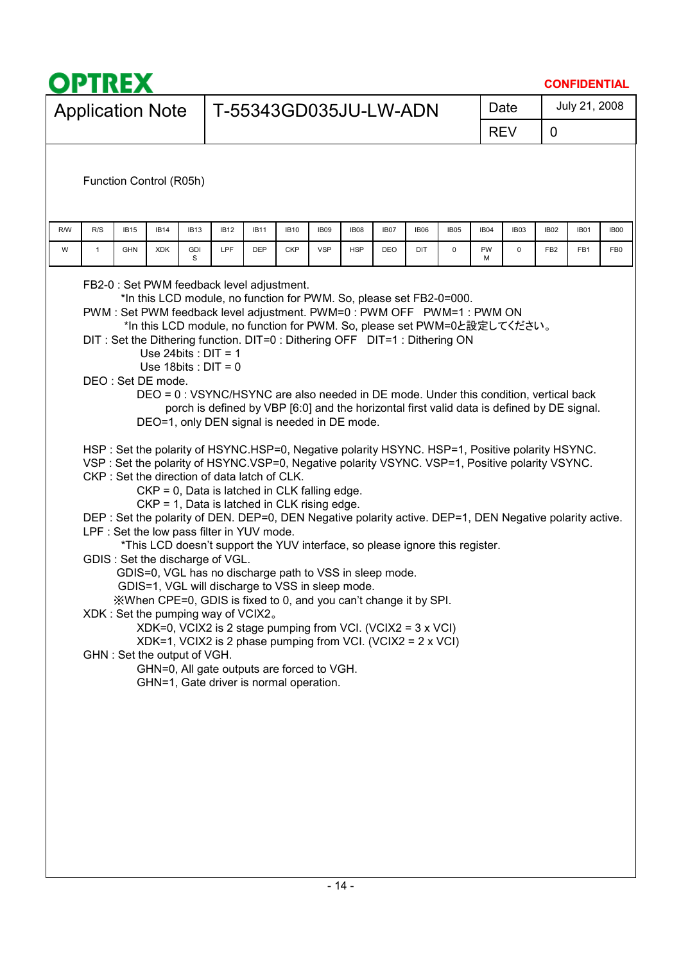| <b>OPTREX</b>                                                                                                                                                                                                                                                                                                                                                                                                                                                                                                                                                                                                                                                                                                                                                                                                                                                                                                                                                                                                                                                                                                                                                                                                                                                                                                                                                                                                                                                                                                                                                                                                                                                                                    |                                                                                            |             |                       |            |             |      |             |             |                  |             |                 | <b>CONFIDENTIAL</b> |                 |
|--------------------------------------------------------------------------------------------------------------------------------------------------------------------------------------------------------------------------------------------------------------------------------------------------------------------------------------------------------------------------------------------------------------------------------------------------------------------------------------------------------------------------------------------------------------------------------------------------------------------------------------------------------------------------------------------------------------------------------------------------------------------------------------------------------------------------------------------------------------------------------------------------------------------------------------------------------------------------------------------------------------------------------------------------------------------------------------------------------------------------------------------------------------------------------------------------------------------------------------------------------------------------------------------------------------------------------------------------------------------------------------------------------------------------------------------------------------------------------------------------------------------------------------------------------------------------------------------------------------------------------------------------------------------------------------------------|--------------------------------------------------------------------------------------------|-------------|-----------------------|------------|-------------|------|-------------|-------------|------------------|-------------|-----------------|---------------------|-----------------|
| <b>Application Note</b>                                                                                                                                                                                                                                                                                                                                                                                                                                                                                                                                                                                                                                                                                                                                                                                                                                                                                                                                                                                                                                                                                                                                                                                                                                                                                                                                                                                                                                                                                                                                                                                                                                                                          |                                                                                            |             | T-55343GD035JU-LW-ADN |            |             |      |             |             |                  | Date        |                 | July 21, 2008       |                 |
|                                                                                                                                                                                                                                                                                                                                                                                                                                                                                                                                                                                                                                                                                                                                                                                                                                                                                                                                                                                                                                                                                                                                                                                                                                                                                                                                                                                                                                                                                                                                                                                                                                                                                                  |                                                                                            |             |                       |            |             |      |             |             |                  | <b>REV</b>  | 0               |                     |                 |
| Function Control (R05h)                                                                                                                                                                                                                                                                                                                                                                                                                                                                                                                                                                                                                                                                                                                                                                                                                                                                                                                                                                                                                                                                                                                                                                                                                                                                                                                                                                                                                                                                                                                                                                                                                                                                          |                                                                                            |             |                       |            |             |      |             |             |                  |             |                 |                     |                 |
| R/W<br>R/S<br><b>IB15</b><br><b>IB14</b><br><b>IB13</b>                                                                                                                                                                                                                                                                                                                                                                                                                                                                                                                                                                                                                                                                                                                                                                                                                                                                                                                                                                                                                                                                                                                                                                                                                                                                                                                                                                                                                                                                                                                                                                                                                                          | <b>IB12</b>                                                                                | <b>IB11</b> | <b>IB10</b>           | IB09       | <b>IB08</b> | IB07 | <b>IB06</b> | <b>IB05</b> | IB <sub>04</sub> | IB03        | <b>IB02</b>     | <b>IB01</b>         | <b>IB00</b>     |
| W<br><b>GDI</b><br><b>GHN</b><br><b>XDK</b><br>$\mathbf{1}$<br>S                                                                                                                                                                                                                                                                                                                                                                                                                                                                                                                                                                                                                                                                                                                                                                                                                                                                                                                                                                                                                                                                                                                                                                                                                                                                                                                                                                                                                                                                                                                                                                                                                                 | LPF                                                                                        | <b>DEP</b>  | <b>CKP</b>            | <b>VSP</b> | <b>HSP</b>  | DEO  | DIT         | $\mathbf 0$ | PW<br>м          | $\mathbf 0$ | FB <sub>2</sub> | FB1                 | FB <sub>0</sub> |
| FB2-0 : Set PWM feedback level adjustment.<br>*In this LCD module, no function for PWM. So, please set FB2-0=000.<br>PWM: Set PWM feedback level adjustment. PWM=0 : PWM OFF PWM=1 : PWM ON<br>*In this LCD module, no function for PWM. So, please set PWM=0と設定してください。<br>DIT: Set the Dithering function. DIT=0: Dithering OFF DIT=1: Dithering ON<br>Use 24bits : $DIT = 1$<br>Use 18bits : $DIT = 0$<br>DEO: Set DE mode.<br>DEO = 0: VSYNC/HSYNC are also needed in DE mode. Under this condition, vertical back<br>DEO=1, only DEN signal is needed in DE mode.<br>HSP: Set the polarity of HSYNC.HSP=0, Negative polarity HSYNC. HSP=1, Positive polarity HSYNC.<br>VSP: Set the polarity of HSYNC.VSP=0, Negative polarity VSYNC. VSP=1, Positive polarity VSYNC.<br>CKP: Set the direction of data latch of CLK.<br>CKP = 0, Data is latched in CLK falling edge.<br>CKP = 1, Data is latched in CLK rising edge.<br>DEP: Set the polarity of DEN. DEP=0, DEN Negative polarity active. DEP=1, DEN Negative polarity active.<br>LPF : Set the low pass filter in YUV mode.<br>*This LCD doesn't support the YUV interface, so please ignore this register.<br>GDIS: Set the discharge of VGL.<br>GDIS=0, VGL has no discharge path to VSS in sleep mode.<br>GDIS=1, VGL will discharge to VSS in sleep mode.<br>XWhen CPE=0, GDIS is fixed to 0, and you can't change it by SPI.<br>XDK: Set the pumping way of VCIX2.<br>XDK=0, VCIX2 is 2 stage pumping from VCI. (VCIX2 = 3 x VCI)<br>$XDK=1$ , VCIX2 is 2 phase pumping from VCI. (VCIX2 = $2 \times VCI$ )<br>GHN: Set the output of VGH.<br>GHN=0, All gate outputs are forced to VGH.<br>GHN=1, Gate driver is normal operation. | porch is defined by VBP [6:0] and the horizontal first valid data is defined by DE signal. |             |                       |            |             |      |             |             |                  |             |                 |                     |                 |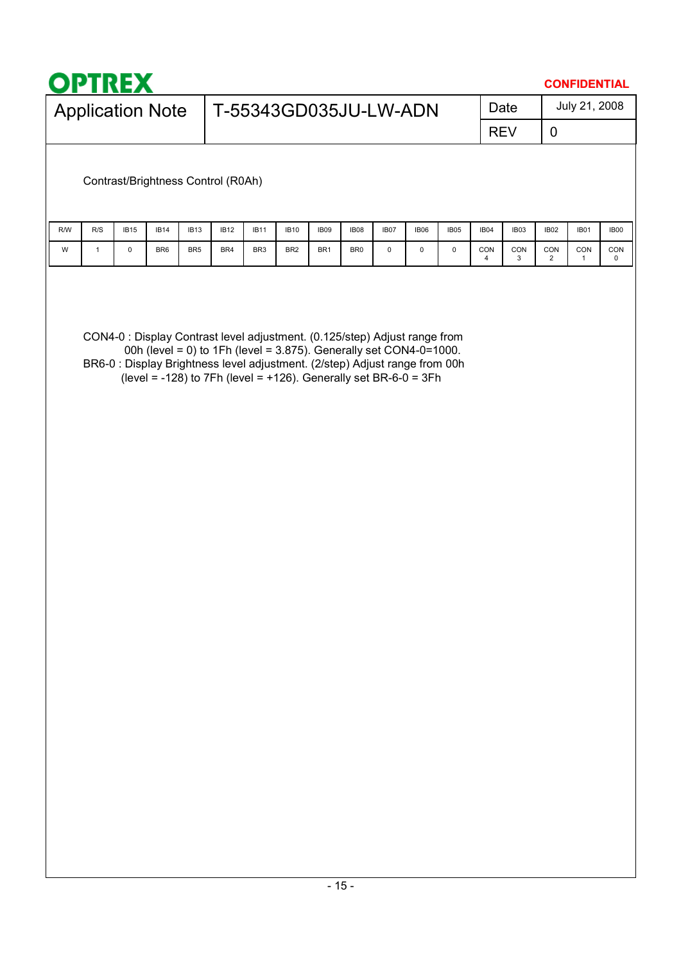|     | <b>OPTRE</b><br><b>CONFIDENTIAL</b> |             |                 |                  |                                                                                                                                                                                                                                                                                                     |                  |                       |                 |                 |           |                     |      |          |            |                       |               |          |
|-----|-------------------------------------|-------------|-----------------|------------------|-----------------------------------------------------------------------------------------------------------------------------------------------------------------------------------------------------------------------------------------------------------------------------------------------------|------------------|-----------------------|-----------------|-----------------|-----------|---------------------|------|----------|------------|-----------------------|---------------|----------|
|     | <b>Application Note</b>             |             |                 |                  |                                                                                                                                                                                                                                                                                                     |                  | T-55343GD035JU-LW-ADN |                 |                 |           |                     |      |          | Date       |                       | July 21, 2008 |          |
|     |                                     |             |                 |                  |                                                                                                                                                                                                                                                                                                     |                  |                       |                 |                 |           |                     |      |          | <b>REV</b> | $\mathbf 0$           |               |          |
|     |                                     |             |                 |                  | Contrast/Brightness Control (R0Ah)                                                                                                                                                                                                                                                                  |                  |                       |                 |                 |           |                     |      |          |            |                       |               |          |
| R/W | R/S                                 | <b>IB15</b> | <b>IB14</b>     | IB <sub>13</sub> | <b>IB12</b>                                                                                                                                                                                                                                                                                         | IB <sub>11</sub> | <b>IB10</b>           | IB09            | IB08            | IB07      | IB06                | IB05 | IB04     | IB03       | IB02                  | IB01          | IB00     |
| W   | $\mathbf{1}$                        | 0           | BR <sub>6</sub> | BR <sub>5</sub>  | BR4                                                                                                                                                                                                                                                                                                 | BR <sub>3</sub>  | BR <sub>2</sub>       | BR <sub>1</sub> | BR <sub>0</sub> | $\pmb{0}$ | $\mathsf{O}\xspace$ | 0    | CON<br>4 | CON<br>3   | CON<br>$\overline{c}$ | CON<br>1      | CON<br>0 |
|     |                                     |             |                 |                  | CON4-0 : Display Contrast level adjustment. (0.125/step) Adjust range from<br>00h (level = 0) to 1Fh (level = 3.875). Generally set CON4-0=1000.<br>BR6-0 : Display Brightness level adjustment. (2/step) Adjust range from 00h<br>(level = -128) to 7Fh (level = +126). Generally set BR-6-0 = 3Fh |                  |                       |                 |                 |           |                     |      |          |            |                       |               |          |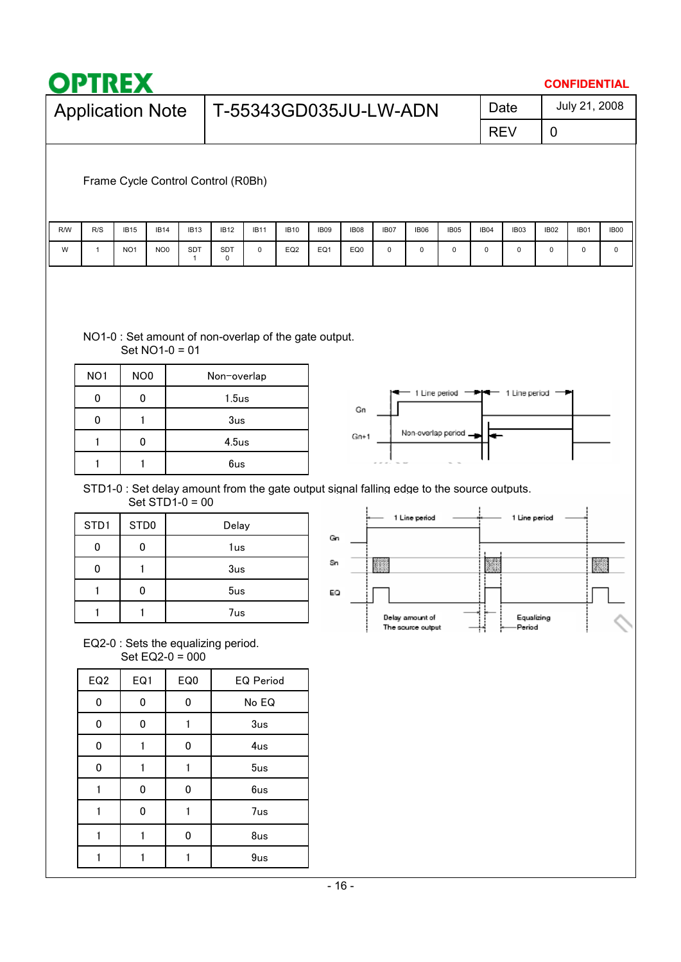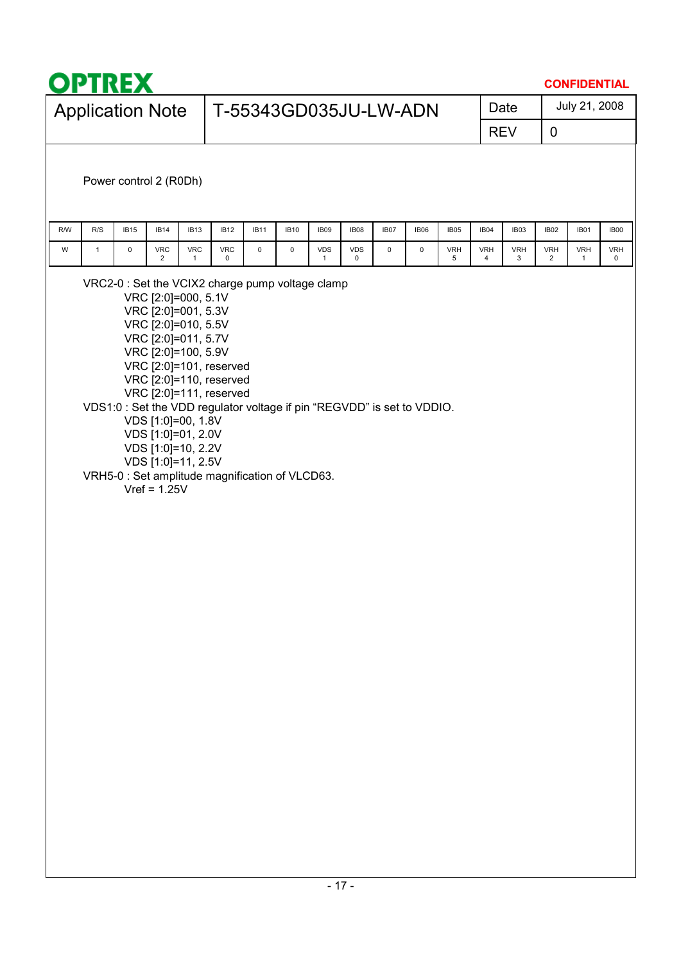| <b>Application Note</b>                                                                                                                                                                                                                                                                                                                                                                    | T-55343GD035JU-LW-ADN                                             |                                               |                 |                 | Date            |                 | July 21, 2008              |                 |
|--------------------------------------------------------------------------------------------------------------------------------------------------------------------------------------------------------------------------------------------------------------------------------------------------------------------------------------------------------------------------------------------|-------------------------------------------------------------------|-----------------------------------------------|-----------------|-----------------|-----------------|-----------------|----------------------------|-----------------|
|                                                                                                                                                                                                                                                                                                                                                                                            |                                                                   |                                               |                 |                 | <b>REV</b>      | $\overline{0}$  |                            |                 |
| Power control 2 (R0Dh)                                                                                                                                                                                                                                                                                                                                                                     |                                                                   |                                               |                 |                 |                 |                 |                            |                 |
| R/W<br>R/S<br><b>IB15</b><br><b>IB14</b><br>IB <sub>13</sub>                                                                                                                                                                                                                                                                                                                               | <b>IB12</b><br><b>IB11</b><br><b>IB10</b><br>IB09                 | IB07<br><b>IB08</b><br><b>IB06</b>            | <b>IB05</b>     | IB04            | IB03            | IB02            | <b>IB01</b>                | <b>IB00</b>     |
| W<br>$\mathbf{1}$<br>0<br><b>VRC</b><br><b>VRC</b><br>$\overline{2}$<br>$\mathbf{1}$                                                                                                                                                                                                                                                                                                       | <b>VRC</b><br>$\mathsf 0$<br>0<br><b>VDS</b><br>0<br>$\mathbf{1}$ | <b>VDS</b><br>$\mathsf 0$<br>0<br>$\mathbf 0$ | <b>VRH</b><br>5 | <b>VRH</b><br>4 | <b>VRH</b><br>3 | <b>VRH</b><br>2 | <b>VRH</b><br>$\mathbf{1}$ | <b>VRH</b><br>0 |
| VRC [2:0]=010, 5.5V<br>VRC [2:0]=011, 5.7V<br>VRC [2:0]=100, 5.9V<br>VRC [2:0]=101, reserved<br>VRC [2:0]=110, reserved<br>VRC [2:0]=111, reserved<br>VDS1:0 : Set the VDD regulator voltage if pin "REGVDD" is set to VDDIO.<br>VDS [1:0]=00, 1.8V<br>VDS [1:0]=01, 2.0V<br>VDS [1:0]=10, 2.2V<br>VDS [1:0]=11, 2.5V<br>VRH5-0 : Set amplitude magnification of VLCD63.<br>$Vref = 1.25V$ |                                                                   |                                               |                 |                 |                 |                 |                            |                 |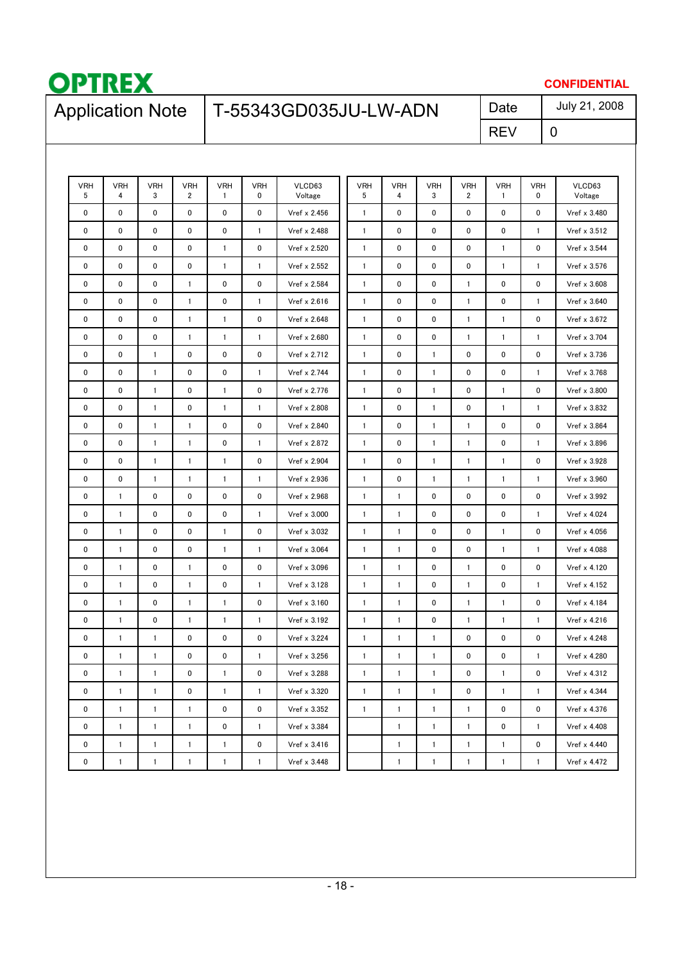

### **CONFIDENTIAL** July 21, 2008

# Application Note | T-55343GD035JU-LW-ADN Date

REV

0

| <b>VRH</b><br>5 | <b>VRH</b><br>4 | <b>VRH</b><br>3 | <b>VRH</b><br>$\overline{2}$ | <b>VRH</b><br>$\mathbf{1}$ | <b>VRH</b><br>0 | VLCD63<br>Voltage | <b>VRH</b><br>5 | <b>VRH</b><br>4 | <b>VRH</b><br>3 | <b>VRH</b><br>$\overline{2}$ | <b>VRH</b><br>$\mathbf{1}$ | <b>VRH</b><br>0 | VLCD63<br>Voltage |
|-----------------|-----------------|-----------------|------------------------------|----------------------------|-----------------|-------------------|-----------------|-----------------|-----------------|------------------------------|----------------------------|-----------------|-------------------|
| 0               | $\mathbf 0$     | 0               | 0                            | 0                          | 0               | Vref x 2.456      | $\mathbf{1}$    | 0               | 0               | 0                            | 0                          | 0               | Vref x 3.480      |
| 0               | 0               | 0               | 0                            | 0                          | $\mathbf{1}$    | Vref x 2.488      | $\mathbf{1}$    | 0               | 0               | 0                            | 0                          | $\mathbf{1}$    | Vref x 3.512      |
| 0               | 0               | 0               | 0                            | $\mathbf{1}$               | 0               | Vref x 2.520      | $\mathbf{1}$    | 0               | 0               | 0                            | $\mathbf{1}$               | 0               | Vref x 3.544      |
| 0               | 0               | 0               | 0                            | $\mathbf{1}$               | $\mathbf{1}$    | Vref x 2.552      | $\mathbf{1}$    | 0               | 0               | 0                            | $\mathbf{1}$               | $\mathbf{1}$    | Vref x 3.576      |
| 0               | 0               | $\mathbf 0$     | 1                            | 0                          | 0               | Vref x 2.584      | $\mathbf{1}$    | 0               | 0               | $\mathbf{1}$                 | 0                          | 0               | Vref x 3.608      |
| 0               | 0               | 0               | $\mathbf{1}$                 | 0                          | $\mathbf{1}$    | Vref x 2.616      | $\mathbf{1}$    | 0               | 0               | $\mathbf{1}$                 | 0                          | $\mathbf{1}$    | Vref x 3.640      |
| 0               | 0               | 0               | $\mathbf{1}$                 | $\mathbf{1}$               | 0               | Vref x 2.648      | $\mathbf{1}$    | 0               | 0               | $\mathbf{1}$                 | $\mathbf{1}$               | 0               | Vref x 3.672      |
| 0               | 0               | 0               | $\mathbf{1}$                 | $\mathbf{1}$               | $\mathbf{1}$    | Vref x 2.680      | $\mathbf{1}$    | 0               | 0               | $\mathbf{1}$                 | $\mathbf{1}$               | $\mathbf{1}$    | Vref x 3.704      |
| 0               | 0               | $\mathbf{1}$    | 0                            | 0                          | 0               | Vref x 2.712      | $\mathbf{1}$    | $\pmb{0}$       | 1               | 0                            | 0                          | 0               | Vref x 3.736      |
| 0               | 0               | $\mathbf{1}$    | 0                            | 0                          | $\mathbf{1}$    | Vref x 2.744      | $\mathbf{1}$    | 0               | $\mathbf{1}$    | 0                            | 0                          | $\mathbf{1}$    | Vref x 3.768      |
| 0               | 0               | $\mathbf{1}$    | 0                            | $\mathbf{1}$               | 0               | Vref x 2.776      | $\mathbf{1}$    | 0               | 1               | 0                            | $\mathbf{1}$               | 0               | Vref x 3.800      |
| 0               | 0               | $\mathbf{1}$    | 0                            | $\mathbf{1}$               | $\mathbf{1}$    | Vref x 2.808      | $\mathbf{1}$    | 0               | 1               | 0                            | $\mathbf{1}$               | $\mathbf{1}$    | Vref x 3.832      |
| 0               | 0               | $\mathbf{1}$    | $\mathbf{1}$                 | 0                          | 0               | Vref x 2.840      | $\mathbf{1}$    | 0               | $\mathbf{1}$    | $\mathbf{1}$                 | 0                          | 0               | Vref x 3.864      |
| 0               | 0               | $\mathbf{1}$    | $\mathbf{1}$                 | 0                          | $\mathbf{1}$    | Vref x 2.872      | $\mathbf{1}$    | 0               | 1               | $\mathbf{1}$                 | 0                          | $\mathbf{1}$    | Vref x 3.896      |
| 0               | 0               | $\mathbf{1}$    | $\mathbf{1}$                 | $\mathbf{1}$               | 0               | Vref x 2.904      | $\mathbf{1}$    | $\pmb{0}$       | $\mathbf{1}$    | $\mathbf{1}$                 | $\mathbf{1}$               | 0               | Vref x 3.928      |
| 0               | 0               | $\mathbf{1}$    | 1                            | $\mathbf{1}$               | $\mathbf{1}$    | Vref x 2.936      | $\mathbf{1}$    | $\mathbf 0$     | 1               | 1                            | $\mathbf{1}$               | $\mathbf{1}$    | Vref x 3.960      |
| 0               | $\mathbf{1}$    | 0               | 0                            | 0                          | 0               | Vref x 2.968      | $\mathbf{1}$    | $\mathbf{1}$    | 0               | $\mathbf 0$                  | 0                          | 0               | Vref x 3.992      |
| 0               | $\mathbf{1}$    | 0               | 0                            | 0                          | $\mathbf{1}$    | Vref x 3.000      | $\mathbf{1}$    | $\mathbf{1}$    | 0               | 0                            | 0                          | $\mathbf{1}$    | Vref x 4.024      |
| 0               | $\mathbf{1}$    | 0               | 0                            | 1                          | 0               | Vref x 3.032      | $\mathbf{1}$    | $\mathbf{1}$    | 0               | 0                            | $\mathbf{1}$               | 0               | Vref x 4.056      |
| 0               | $\mathbf{1}$    | 0               | 0                            | $\mathbf{1}$               | $\mathbf{1}$    | Vref x 3.064      | $\mathbf{1}$    | $\mathbf{1}$    | 0               | 0                            | $\mathbf{1}$               | $\mathbf{1}$    | Vref x 4.088      |
| 0               | $\mathbf{1}$    | 0               | 1                            | 0                          | 0               | Vref x 3.096      | $\mathbf{1}$    | $\mathbf{1}$    | 0               | $\mathbf{1}$                 | 0                          | 0               | Vref x 4.120      |
| 0               | $\mathbf{1}$    | 0               | 1                            | 0                          | $\mathbf{1}$    | Vref x 3.128      | $\mathbf{1}$    | $\mathbf{1}$    | 0               | $\mathbf{1}$                 | $\mathbf 0$                | $\mathbf{1}$    | Vref x 4.152      |
| 0               | $\mathbf{1}$    | 0               | 1                            | $\mathbf{1}$               | 0               | Vref x 3.160      | $\mathbf{1}$    | $\mathbf{1}$    | 0               | $\mathbf{1}$                 | $\mathbf{1}$               | 0               | Vref x 4.184      |
| 0               | $\mathbf{1}$    | 0               | 1                            | $\mathbf{1}$               | $\mathbf{1}$    | Vref x 3.192      | $\mathbf{1}$    | $\mathbf{1}$    | 0               | $\mathbf{1}$                 | $\mathbf{1}$               | $\mathbf{1}$    | Vref x 4.216      |
| 0               | $\mathbf{1}$    | $\mathbf{1}$    | 0                            | 0                          | 0               | Vref x 3.224      | $\mathbf{1}$    | $\mathbf{1}$    | $\mathbf{1}$    | $\pmb{0}$                    | 0                          | 0               | Vref x 4.248      |
| 0               | 1               | $\mathbf{1}$    | 0                            | 0                          | $\mathbf{1}$    | Vref x 3.256      | $\mathbf{1}$    | $\mathbf{1}$    | 1               | 0                            | 0                          | $\mathbf{1}$    | Vref x 4.280      |
| 0               | 1               | $\mathbf{1}$    | 0                            | $\mathbf{1}$               | 0               | Vref x 3.288      | $\mathbf{1}$    | $\mathbf{1}$    | $\mathbf{1}$    | 0                            | $\mathbf{1}$               | 0               | Vref x 4.312      |
| 0               | 1               | $\mathbf{1}$    | 0                            | $\mathbf{1}$               | 1               | Vref x 3.320      | $\mathbf{1}$    | $\mathbf{1}$    | 1               | $\pmb{0}$                    | $\mathbf{1}$               | 1               | Vref x 4.344      |
| 0               | $\mathbf{1}$    | $\mathbf{1}$    | $\mathbf{1}$                 | 0                          | 0               | Vref x 3.352      | $\mathbf{1}$    | $\mathbf{1}$    | 1               | $\mathbf{1}$                 | 0                          | 0               | Vref x 4.376      |
| 0               | $\mathbf{1}$    | $\mathbf{1}$    | $\mathbf{1}$                 | 0                          | $\mathbf{1}$    | Vref x 3.384      |                 | $\mathbf{1}$    | 1               | $\mathbf{1}$                 | 0                          | $\mathbf{1}$    | Vref x 4.408      |
| 0               | $\mathbf{1}$    | $\mathbf{1}$    | 1                            | 1                          | 0               | Vref x 3.416      |                 | $\mathbf{1}$    | 1               | $\mathbf{1}$                 | $\mathbf{1}$               | 0               | Vref x 4.440      |
| 0               | $\mathbf{1}$    | $\mathbf{1}$    | $\mathbf{1}$                 | 1                          | $\mathbf{1}$    | Vref x 3.448      |                 | $\mathbf{1}$    | 1               | $\mathbf{1}$                 | $\mathbf{1}$               | $\mathbf{1}$    | Vref x 4.472      |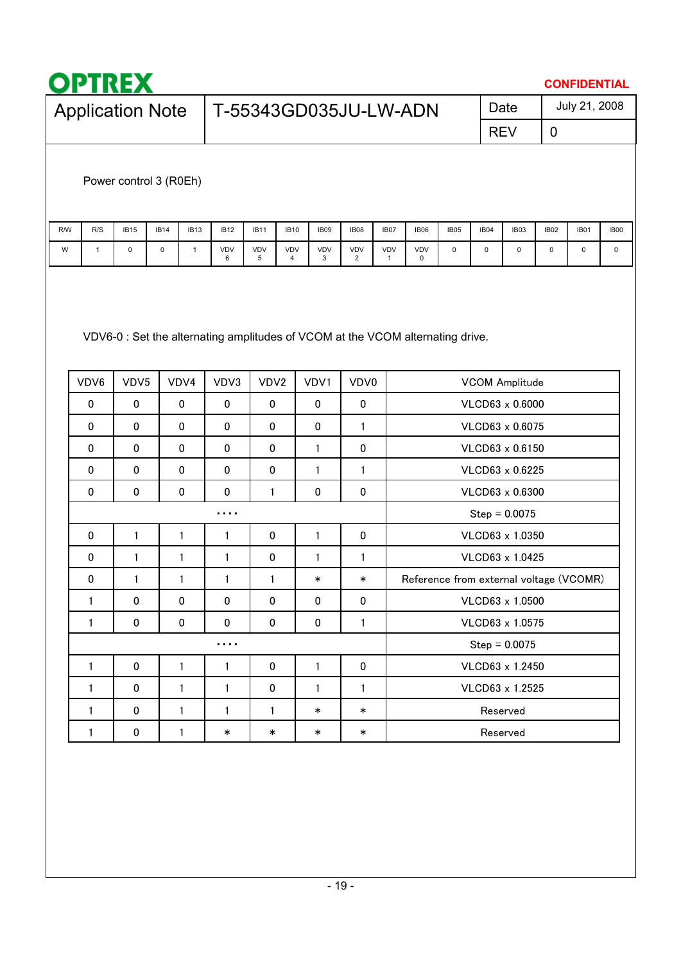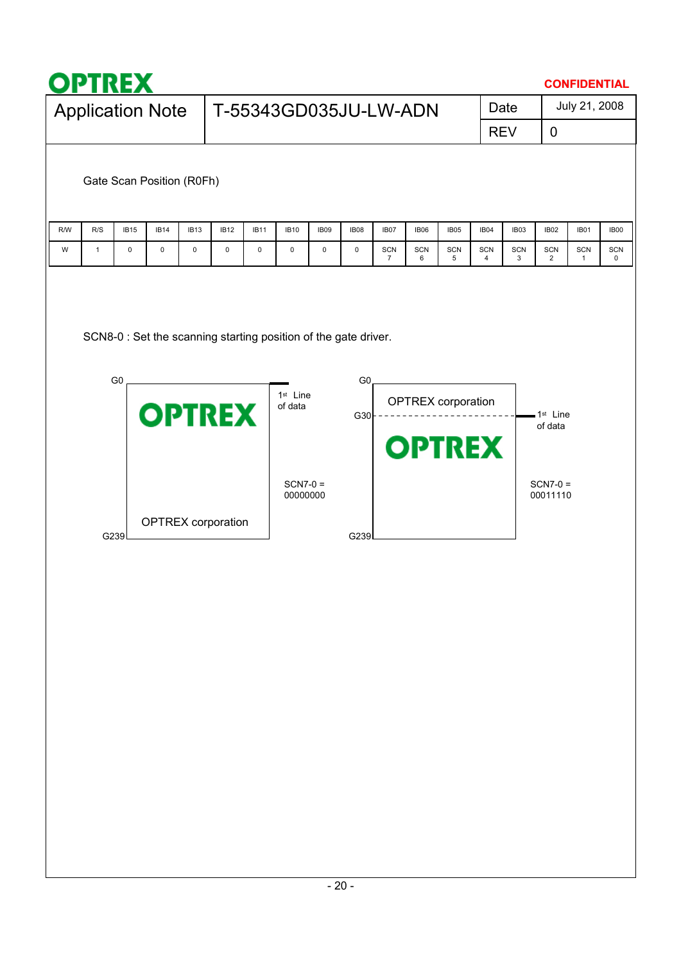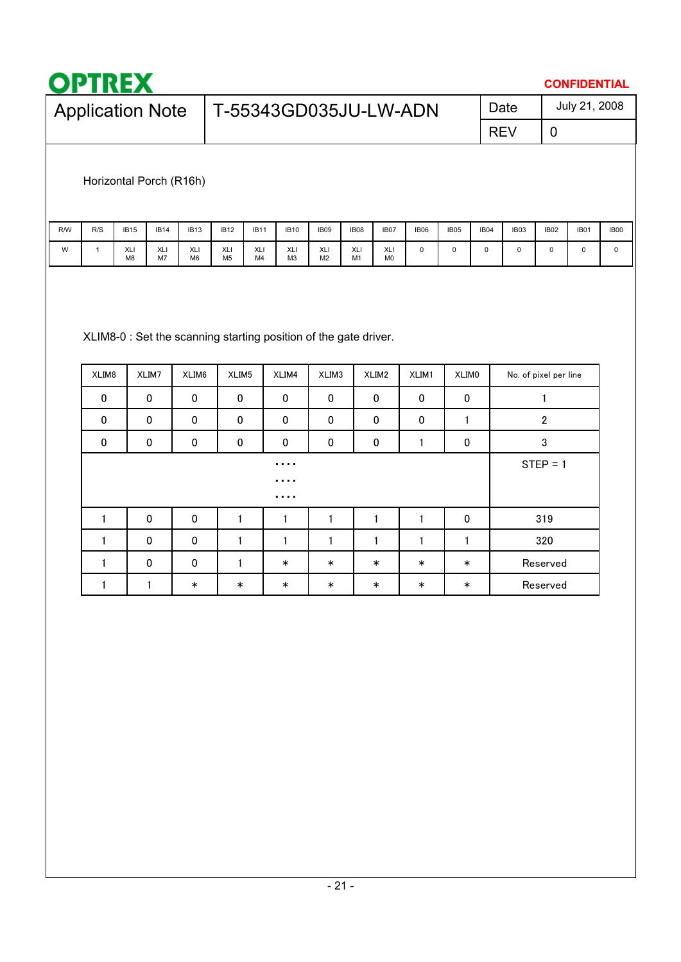

1 | 1 | \* | \* | \* | \* | \* | \* | \* | Reserved

 $\ast$ 

 $\mathbf 1$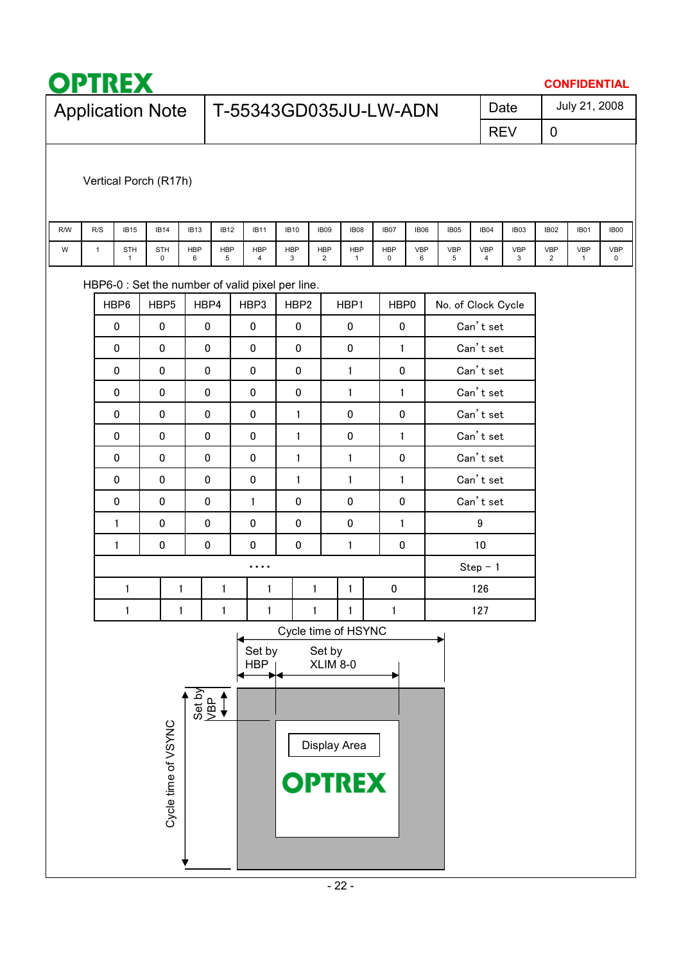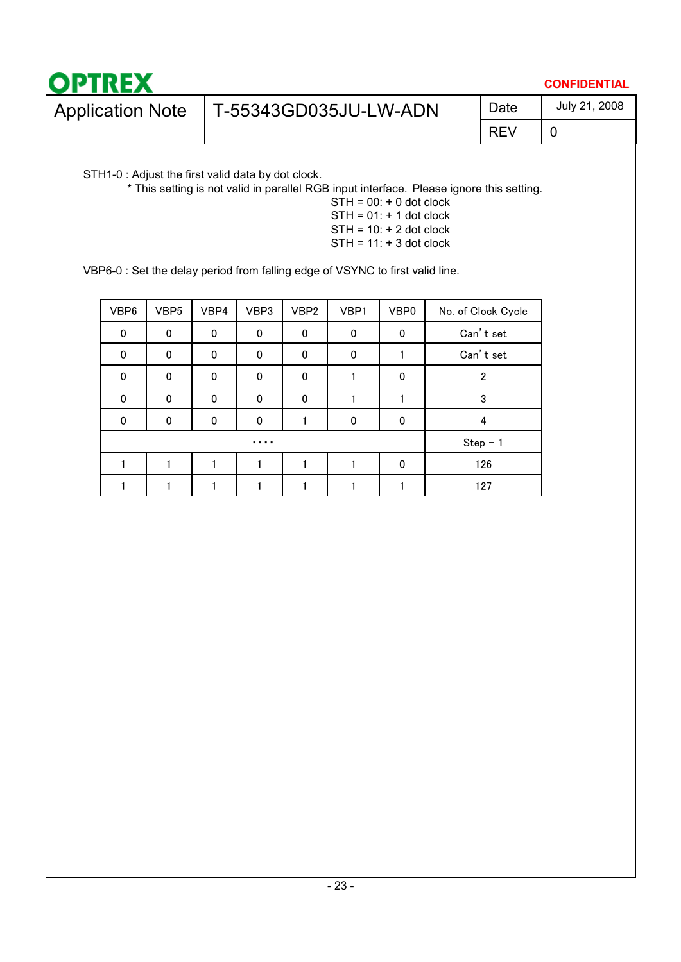| <b>OPTREX</b>           |                       |      | <b>CONFIDENTIAL</b> |
|-------------------------|-----------------------|------|---------------------|
| <b>Application Note</b> | T-55343GD035JU-LW-ADN | Date | July 21, 2008       |
|                         |                       | REV  |                     |

STH1-0 : Adjust the first valid data by dot clock.

\* This setting is not valid in parallel RGB input interface. Please ignore this setting.

 $STH = 00: + 0$  dot clock  $STH = 01: + 1$  dot clock  $STH = 10: + 2$  dot clock  $STH = 11: + 3$  dot clock

VBP6-0 : Set the delay period from falling edge of VSYNC to first valid line.

| VBP6 | VBP <sub>5</sub> | VBP4         | VBP3        | VBP <sub>2</sub> | VBP1     | VBP0     | No. of Clock Cycle |
|------|------------------|--------------|-------------|------------------|----------|----------|--------------------|
| 0    | $\mathbf 0$      | $\mathbf{0}$ | $\mathbf 0$ | 0                | $\Omega$ | 0        | Can't set          |
| 0    | $\mathbf 0$      | $\Omega$     | 0           | 0                | $\Omega$ |          | Can't set          |
| 0    | $\mathbf 0$      | $\Omega$     | $\Omega$    | 0                |          | 0        | $\overline{2}$     |
| 0    | $\Omega$         | $\Omega$     | $\Omega$    | 0                |          |          | 3                  |
| 0    | $\Omega$         | $\Omega$     | $\Omega$    |                  | $\Omega$ | $\Omega$ | 4                  |
|      |                  |              | .           |                  |          |          | $Step - 1$         |
|      |                  |              |             |                  |          | $\Omega$ | 126                |
|      |                  |              |             |                  |          |          | 127                |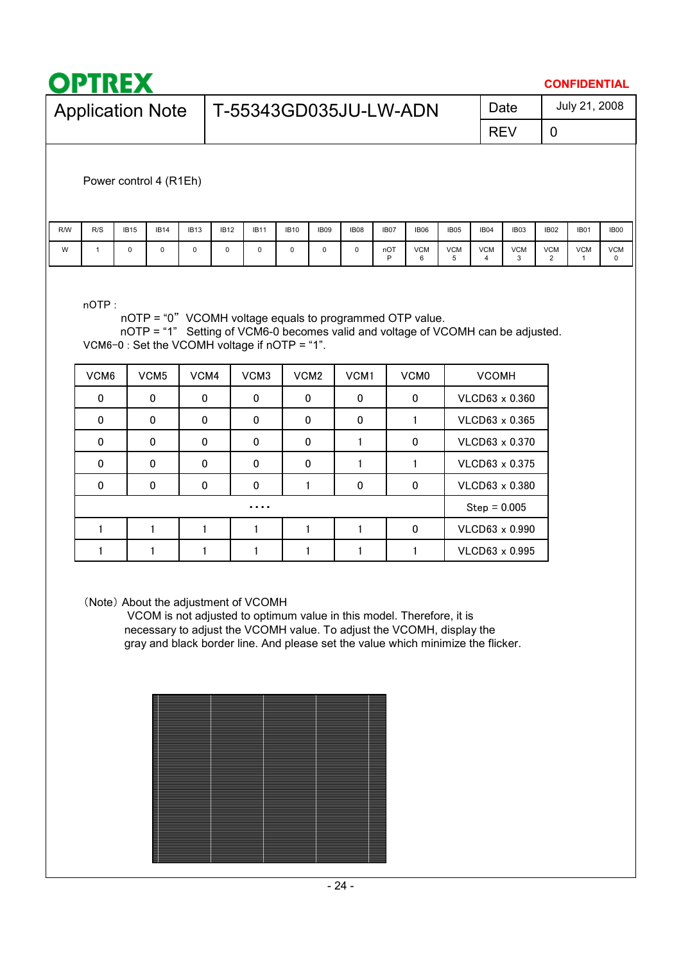|     | <b>OPTREX</b>           |                        |             |             |                                                                                                                                              |             |             |             |             |             |                       |                 |                 |                 |                 | <b>CONFIDENTIAL</b> |                 |
|-----|-------------------------|------------------------|-------------|-------------|----------------------------------------------------------------------------------------------------------------------------------------------|-------------|-------------|-------------|-------------|-------------|-----------------------|-----------------|-----------------|-----------------|-----------------|---------------------|-----------------|
|     | <b>Application Note</b> |                        |             |             |                                                                                                                                              |             |             |             |             |             | T-55343GD035JU-LW-ADN |                 |                 | Date            |                 | July 21, 2008       |                 |
|     |                         |                        |             |             |                                                                                                                                              |             |             |             |             |             | <b>REV</b>            | 0               |                 |                 |                 |                     |                 |
|     |                         | Power control 4 (R1Eh) |             |             |                                                                                                                                              |             |             |             |             |             |                       |                 |                 |                 |                 |                     |                 |
| R/W | R/S                     | <b>IB15</b>            | <b>IB14</b> | <b>IB13</b> | <b>IB12</b>                                                                                                                                  | <b>IB11</b> | <b>IB10</b> | <b>IB09</b> | <b>IB08</b> | <b>IB07</b> | IB06                  | <b>IB05</b>     | IB04            | IB03            | <b>IB02</b>     | <b>IB01</b>         | <b>IB00</b>     |
| W   | 1                       | $\Omega$               | $\Omega$    | 0           | 0                                                                                                                                            | 0           | 0           | 0           | $\Omega$    | nOT<br>P    | <b>VCM</b><br>6       | <b>VCM</b><br>5 | <b>VCM</b><br>4 | <b>VCM</b><br>3 | <b>VCM</b><br>2 | <b>VCM</b><br>1     | <b>VCM</b><br>0 |
|     | $n$ OTP:                |                        |             |             | nOTP = "0" VCOMH voltage equals to programmed OTP value.<br>$nQTD = 44$ Catting of VCMC 0 hosemes valid and veltons of VCOML son he edivated |             |             |             |             |             |                       |                 |                 |                 |                 |                     |                 |

nOTP = "1" Setting of VCM6-0 becomes valid and voltage of VCOMH can be adjusted. VCM6-0 : Set the VCOMH voltage if nOTP = "1".

| VCM <sub>6</sub> | VCM <sub>5</sub> | VCM4 | VCM <sub>3</sub> | VCM <sub>2</sub> | VCM <sub>1</sub> | VCM <sub>0</sub> | <b>VCOMH</b>   |
|------------------|------------------|------|------------------|------------------|------------------|------------------|----------------|
| 0                | 0                | 0    | 0                | $\mathbf 0$      | 0                | 0                | VLCD63 x 0.360 |
| 0                | 0                | 0    | 0                | $\mathbf 0$      | $\Omega$         |                  | VLCD63 x 0.365 |
| 0                | 0                | 0    | 0                | 0                |                  | 0                | VLCD63 x 0.370 |
| $\Omega$         | 0                | 0    | 0                | 0                |                  |                  | VLCD63 x 0.375 |
| $\Omega$         | $\mathbf{0}$     | 0    | 0                |                  | $\Omega$         | 0                | VLCD63 x 0.380 |
|                  |                  |      | .                |                  |                  |                  | $Step = 0.005$ |
|                  |                  |      |                  |                  |                  | 0                | VLCD63 x 0.990 |
|                  |                  |      |                  |                  |                  |                  | VLCD63 x 0.995 |

(Note) About the adjustment of VCOMH

VCOM is not adjusted to optimum value in this model. Therefore, it is necessary to adjust the VCOMH value. To adjust the VCOMH, display the gray and black border line. And please set the value which minimize the flicker.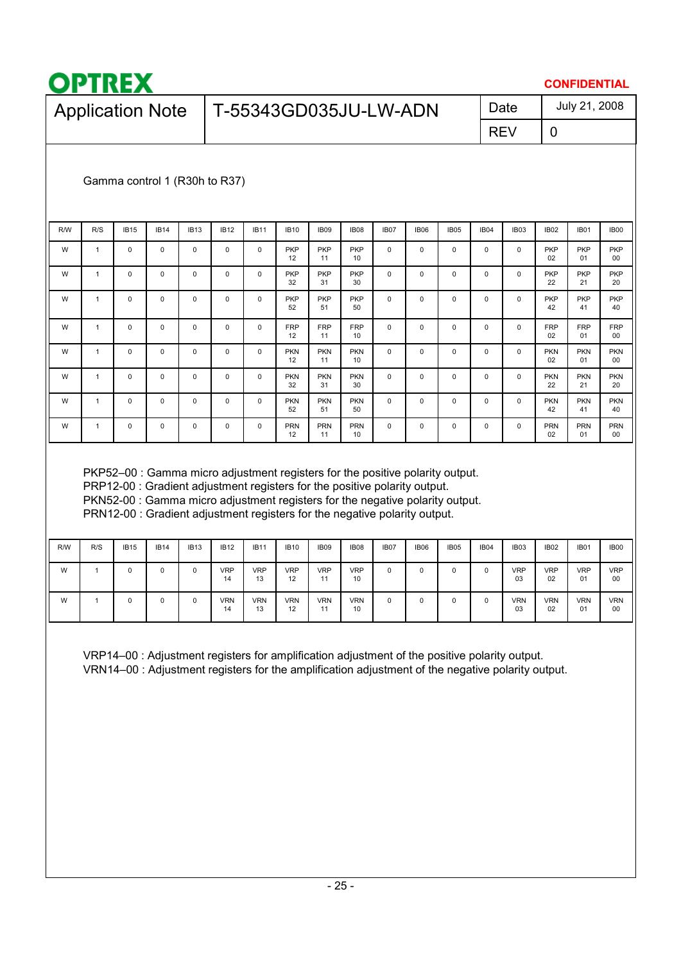

### **CONFIDENTIAL**

| Application Note   T-55343GD035JU-LW-ADN | Date       | July 21, 2008 |
|------------------------------------------|------------|---------------|
|                                          | <b>REV</b> |               |

### Gamma control 1 (R30h to R37)

| R/W | R/S | <b>IB15</b> | <b>IB14</b> | <b>IB13</b> | <b>IB12</b> | <b>IB11</b> | <b>IB10</b>      | IB <sub>09</sub> | <b>IB08</b>      | IB <sub>07</sub> | IB06 | IB <sub>05</sub> | IB <sub>04</sub> | IB <sub>03</sub> | IB <sub>02</sub> | <b>IB01</b>      | IB00             |
|-----|-----|-------------|-------------|-------------|-------------|-------------|------------------|------------------|------------------|------------------|------|------------------|------------------|------------------|------------------|------------------|------------------|
| W   | 1   | $\mathbf 0$ | $\mathbf 0$ | $\mathbf 0$ | $\mathbf 0$ | 0           | <b>PKP</b><br>12 | <b>PKP</b><br>11 | <b>PKP</b><br>10 | 0                | 0    | $\mathbf 0$      | $\Omega$         | 0                | <b>PKP</b><br>02 | <b>PKP</b><br>01 | <b>PKP</b><br>00 |
| W   | 1   | 0           | $\mathbf 0$ | $\mathbf 0$ | $\mathbf 0$ | 0           | <b>PKP</b><br>32 | <b>PKP</b><br>31 | <b>PKP</b><br>30 | 0                | 0    | $\mathbf 0$      | $\Omega$         | 0                | <b>PKP</b><br>22 | <b>PKP</b><br>21 | <b>PKP</b><br>20 |
| W   | 1   | $\mathbf 0$ | $\mathbf 0$ | $\mathbf 0$ | $\mathbf 0$ | 0           | <b>PKP</b><br>52 | <b>PKP</b><br>51 | <b>PKP</b><br>50 | $\Omega$         | 0    | $\Omega$         | $\Omega$         | $\Omega$         | <b>PKP</b><br>42 | <b>PKP</b><br>41 | <b>PKP</b><br>40 |
| W   | 1   | $\mathbf 0$ | 0           | $\mathbf 0$ | $\mathbf 0$ | 0           | <b>FRP</b><br>12 | <b>FRP</b><br>11 | <b>FRP</b><br>10 | 0                | 0    | $\mathbf{0}$     | 0                | 0                | <b>FRP</b><br>02 | <b>FRP</b><br>01 | <b>FRP</b><br>00 |
| W   | 1   | $\mathbf 0$ | $\mathbf 0$ | $\mathbf 0$ | $\mathbf 0$ | 0           | <b>PKN</b><br>12 | <b>PKN</b><br>11 | <b>PKN</b><br>10 | 0                | 0    | $\mathbf{0}$     | 0                | 0                | <b>PKN</b><br>02 | <b>PKN</b><br>01 | <b>PKN</b><br>00 |
| W   | 1   | 0           | 0           | 0           | $\mathbf 0$ | 0           | <b>PKN</b><br>32 | <b>PKN</b><br>31 | <b>PKN</b><br>30 | $\mathbf 0$      | 0    | $\mathbf 0$      | 0                | 0                | <b>PKN</b><br>22 | <b>PKN</b><br>21 | <b>PKN</b><br>20 |
| W   | 1   | 0           | 0           | 0           | $\mathbf 0$ | 0           | <b>PKN</b><br>52 | <b>PKN</b><br>51 | <b>PKN</b><br>50 | $\mathbf 0$      | 0    | $\mathbf 0$      | 0                | 0                | <b>PKN</b><br>42 | <b>PKN</b><br>41 | <b>PKN</b><br>40 |
| W   | 1   | 0           | 0           | 0           | $\mathbf 0$ | 0           | <b>PRN</b><br>12 | <b>PRN</b><br>11 | <b>PRN</b><br>10 | 0                | 0    | 0                | 0                | 0                | <b>PRN</b><br>02 | <b>PRN</b><br>01 | <b>PRN</b><br>00 |

PKP52–00 : Gamma micro adjustment registers for the positive polarity output.

PRP12-00 : Gradient adjustment registers for the positive polarity output.

PKN52-00 : Gamma micro adjustment registers for the negative polarity output.

PRN12-00 : Gradient adjustment registers for the negative polarity output.

| <b>R/W</b> | R/S | <b>IB15</b> | <b>IB14</b> | <b>IB13</b> | <b>IB12</b>      | <b>IB11</b>      | <b>IB10</b>      | IB <sub>09</sub> | IB08             | IB <sub>07</sub> | IB06 | IB <sub>05</sub> | IB <sub>04</sub> | IB <sub>03</sub> | <b>IB02</b>      | <b>IB01</b>      | <b>IB00</b>      |
|------------|-----|-------------|-------------|-------------|------------------|------------------|------------------|------------------|------------------|------------------|------|------------------|------------------|------------------|------------------|------------------|------------------|
| W          |     | $\Omega$    | O           | $\Omega$    | <b>VRP</b><br>14 | <b>VRP</b><br>13 | <b>VRP</b><br>12 | <b>VRP</b><br>11 | <b>VRP</b><br>10 | 0                | 0    | $\Omega$         |                  | <b>VRP</b><br>03 | <b>VRP</b><br>02 | <b>VRP</b><br>01 | <b>VRP</b><br>00 |
| W          |     |             |             | $\Omega$    | <b>VRN</b><br>14 | <b>VRN</b><br>13 | <b>VRN</b><br>12 | <b>VRN</b><br>11 | <b>VRN</b><br>10 | 0                | 0    | $\Omega$         |                  | <b>VRN</b><br>03 | <b>VRN</b><br>02 | <b>VRN</b><br>01 | <b>VRN</b><br>00 |

VRP14–00 : Adjustment registers for amplification adjustment of the positive polarity output. VRN14–00 : Adjustment registers for the amplification adjustment of the negative polarity output.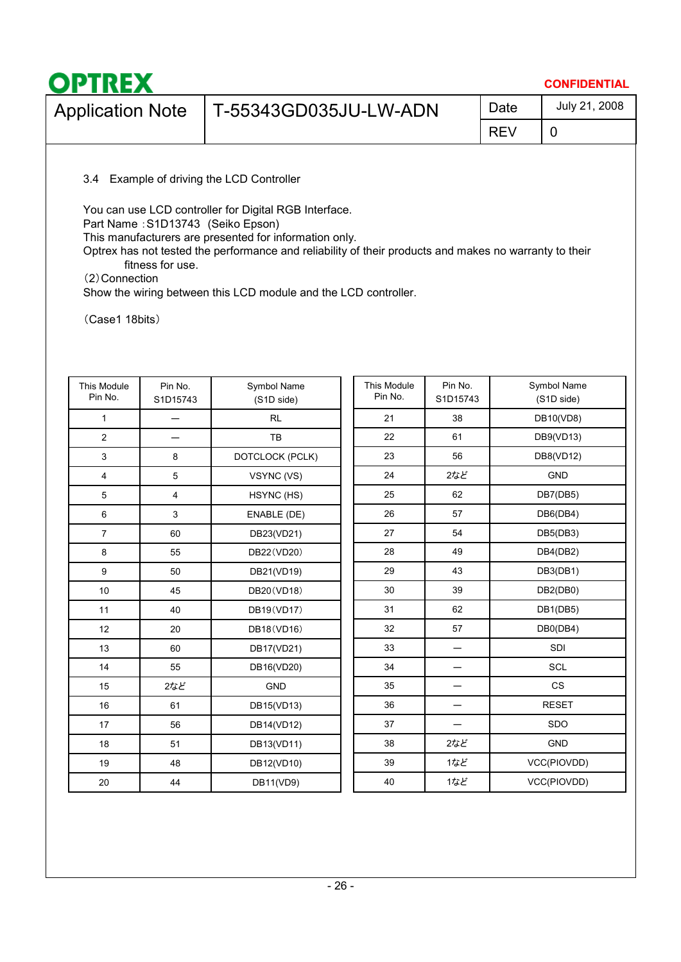|                       |            | <b>CONFIDENTIAL</b> |
|-----------------------|------------|---------------------|
| T-55343GD035JU-LW-ADN | Date       | July 21, 2008       |
|                       | <b>REV</b> |                     |
|                       |            |                     |

3.4 Example of driving the LCD Controller

You can use LCD controller for Digital RGB Interface.

Part Name: S1D13743 (Seiko Epson)

This manufacturers are presented for information only.

Optrex has not tested the performance and reliability of their products and makes no warranty to their fitness for use.

䋨2䋩Connection

Show the wiring between this LCD module and the LCD controller.

(Case1 18bits)

| This Module<br>Pin No. | Pin No.<br>S1D15743 | Symbol Name<br>(S1D side) | This Module<br>Pin No. | Pin No.<br>S1D15743 | Symbol Name<br>(S1D side) |
|------------------------|---------------------|---------------------------|------------------------|---------------------|---------------------------|
| $\mathbf{1}$           |                     | <b>RL</b>                 | 21                     | 38                  | DB10(VD8)                 |
| $\overline{2}$         |                     | TB                        | 22                     | 61                  | DB9(VD13)                 |
| 3                      | 8                   | DOTCLOCK (PCLK)           | 23                     | 56                  | DB8(VD12)                 |
| $\overline{4}$         | 5                   | VSYNC (VS)                | 24                     | 2など                 | GND                       |
| 5                      | 4                   | HSYNC (HS)                | 25                     | 62                  | DB7(DB5)                  |
| 6                      | 3                   | ENABLE (DE)               | 26                     | 57                  | DB6(DB4)                  |
| $\overline{7}$         | 60                  | DB23(VD21)                | 27                     | 54                  | DB5(DB3)                  |
| 8                      | 55                  | DB22(VD20)                | 28                     | 49                  | DB4(DB2)                  |
| 9                      | 50                  | DB21(VD19)                | 29                     | 43                  | DB3(DB1)                  |
| 10                     | 45                  | DB20(VD18)                | 30                     | 39                  | DB2(DB0)                  |
| 11                     | 40                  | DB19(VD17)                | 31                     | 62                  | DB1(DB5)                  |
| 12                     | 20                  | DB18(VD16)                | 32                     | 57                  | DB0(DB4)                  |
| 13                     | 60                  | DB17(VD21)                | 33                     | —                   | SDI                       |
| 14                     | 55                  | DB16(VD20)                | 34                     |                     | <b>SCL</b>                |
| 15                     | 2など                 | <b>GND</b>                | 35                     |                     | CS                        |
| 16                     | 61                  | DB15(VD13)                | 36                     |                     | <b>RESET</b>              |
| 17                     | 56                  | DB14(VD12)                | 37                     |                     | SDO                       |
| 18                     | 51                  | DB13(VD11)                | 38                     | 2など                 | GND                       |
| 19                     | 48                  | DB12(VD10)                | 39                     | 1など                 | VCC(PIOVDD)               |
| 20                     | 44                  | DB11(VD9)                 | 40                     | 1など                 | VCC(PIOVDD)               |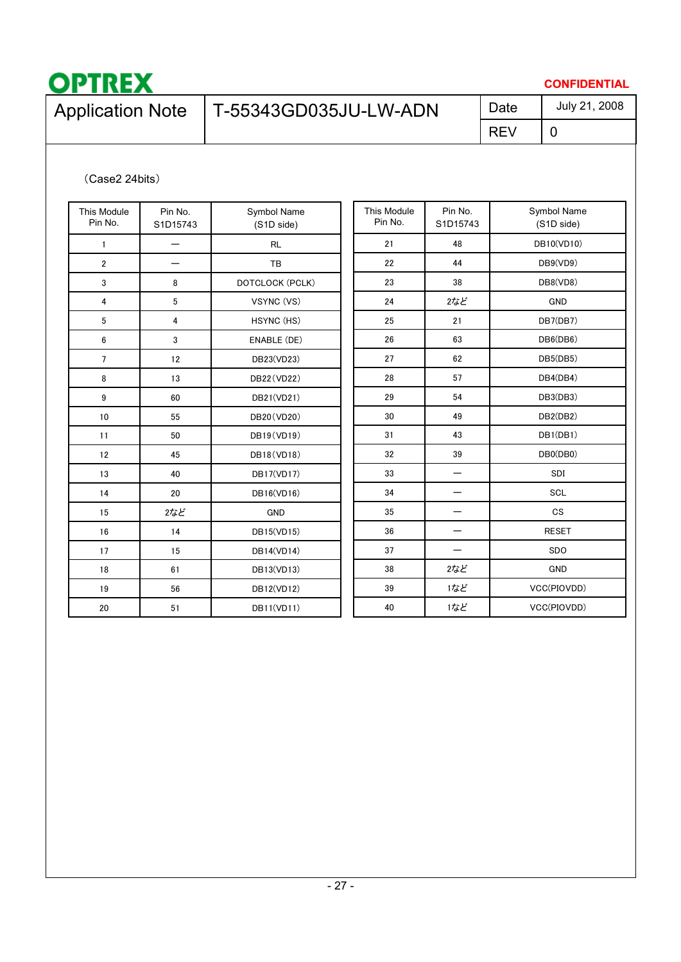

### **CONFIDENTIAL**

# Application Note  $\Big|$  T-55343GD035JU-LW-ADN  $\Big|$  Date

REV

0 July 21, 2008

### (Case2 24bits)

| This Module             | Pin No.  | Symbol Name     | This Module | Pin No.  | Symbol Name  |
|-------------------------|----------|-----------------|-------------|----------|--------------|
| Pin No.                 | S1D15743 | (S1D side)      | Pin No.     | S1D15743 | (S1D side)   |
| $\mathbf{1}$            |          | <b>RL</b>       | 21          | 48       | DB10(VD10)   |
| $\overline{\mathbf{c}}$ |          | TB              | 22          | 44       | DB9(VD9)     |
| 3                       | 8        | DOTCLOCK (PCLK) | 23          | 38       | DB8(VD8)     |
| 4                       | 5        | VSYNC (VS)      | 24          | 2など      | <b>GND</b>   |
| 5                       | 4        | HSYNC (HS)      | 25          | 21       | DB7(DB7)     |
| 6                       | 3        | ENABLE (DE)     | 26          | 63       | DB6(DB6)     |
| $\overline{7}$          | 12       | DB23(VD23)      | 27          | 62       | DB5(DB5)     |
| 8                       | 13       | DB22(VD22)      | 28          | 57       | DB4(DB4)     |
| 9                       | 60       | DB21(VD21)      | 29          | 54       | DB3(DB3)     |
| 10                      | 55       | DB20(VD20)      | 30          | 49       | DB2(DB2)     |
| 11                      | 50       | DB19(VD19)      | 31          | 43       | DB1(DB1)     |
| 12                      | 45       | DB18(VD18)      | 32          | 39       | DB0(DB0)     |
| 13                      | 40       | DB17(VD17)      | 33          | —        | SDI          |
| 14                      | 20       | DB16(VD16)      | 34          |          | SCL          |
| 15                      | 2など      | <b>GND</b>      | 35          |          | <b>CS</b>    |
| 16                      | 14       | DB15(VD15)      | 36          | —        | <b>RESET</b> |
| 17                      | 15       | DB14(VD14)      | 37          |          | SDO          |
| 18                      | 61       | DB13(VD13)      | 38          | 2など      | <b>GND</b>   |
| 19                      | 56       | DB12(VD12)      | 39          | 1など      | VCC(PIOVDD)  |
| 20                      | 51       | DB11(VD11)      | 40          | 1など      | VCC(PIOVDD)  |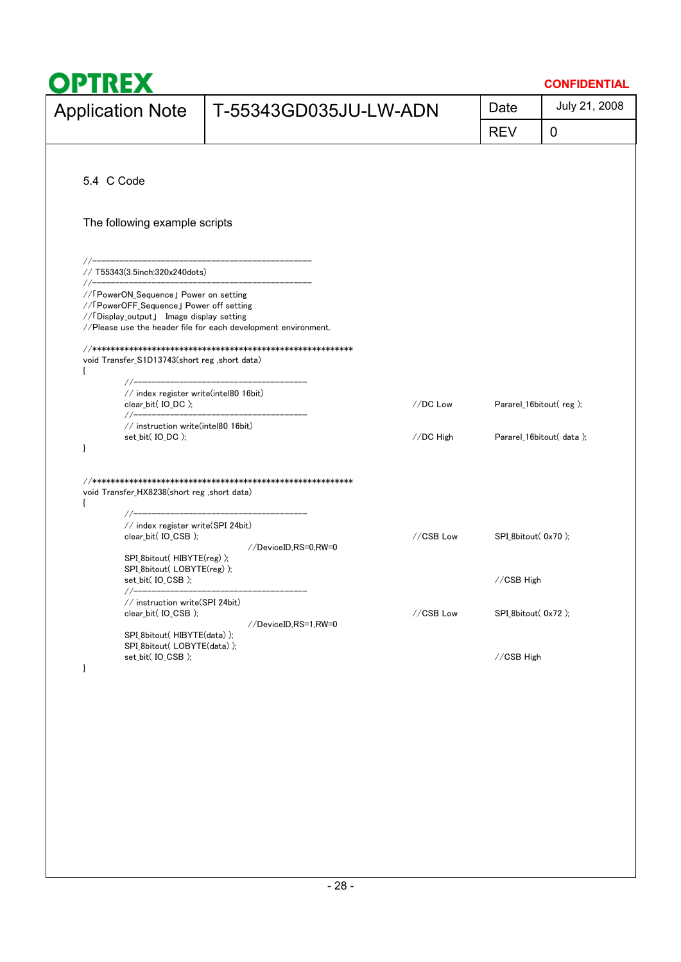| OPTREX                                                                                                                                                                                  |                                                                |           |                                  | <b>CONFIDENTIAL</b> |
|-----------------------------------------------------------------------------------------------------------------------------------------------------------------------------------------|----------------------------------------------------------------|-----------|----------------------------------|---------------------|
| <b>Application Note</b>                                                                                                                                                                 | T-55343GD035JU-LW-ADN                                          |           | Date                             | July 21, 2008       |
|                                                                                                                                                                                         |                                                                |           | <b>REV</b>                       | 0                   |
|                                                                                                                                                                                         |                                                                |           |                                  |                     |
| 5.4 C Code                                                                                                                                                                              |                                                                |           |                                  |                     |
| The following example scripts                                                                                                                                                           |                                                                |           |                                  |                     |
|                                                                                                                                                                                         |                                                                |           |                                  |                     |
| // 「PowerON_Sequence」 Power on setting<br>// 「PowerOFF_Sequence」 Power off setting<br>//「Display_output」 Image display setting                                                          | //Please use the header file for each development environment. |           |                                  |                     |
| void Transfer_S1D13743(short reg ,short data)                                                                                                                                           |                                                                |           |                                  |                     |
| //-----------------------<br>// index register write(intel80 16bit)                                                                                                                     |                                                                | //DC Low  | Pararel_16bitout(reg);           |                     |
| // instruction write(intel80 16bit)<br>set_bit( IO_DC );<br>}                                                                                                                           |                                                                | //DC High | Pararel_16bitout(data);          |                     |
| void Transfer_HX8238(short reg ,short data)<br>// index register write(SPI 24bit)<br>clear_bit(IO_CSB);<br>SPI_8bitout(HIBYTE(reg));<br>SPI_8bitout( LOBYTE(reg) );<br>set_bit(IO_CSB); | //DeviceID,RS=0,RW=0                                           | //CSB Low | SPI_8bitout(0x70);<br>//CSB High |                     |
| // instruction write(SPI 24bit)<br>clear_bit(IO_CSB);                                                                                                                                   | //DeviceID.RS=1.RW=0                                           | //CSB Low | SPI_8bitout(0x72);               |                     |
| SPI_8bitout(HIBYTE(data));<br>SPI 8bitout(LOBYTE(data));<br>set_bit(IO_CSB);<br>$\mathbf{I}$                                                                                            |                                                                |           | //CSB High                       |                     |
|                                                                                                                                                                                         |                                                                |           |                                  |                     |
|                                                                                                                                                                                         |                                                                |           |                                  |                     |
|                                                                                                                                                                                         |                                                                |           |                                  |                     |
|                                                                                                                                                                                         |                                                                |           |                                  |                     |
|                                                                                                                                                                                         |                                                                |           |                                  |                     |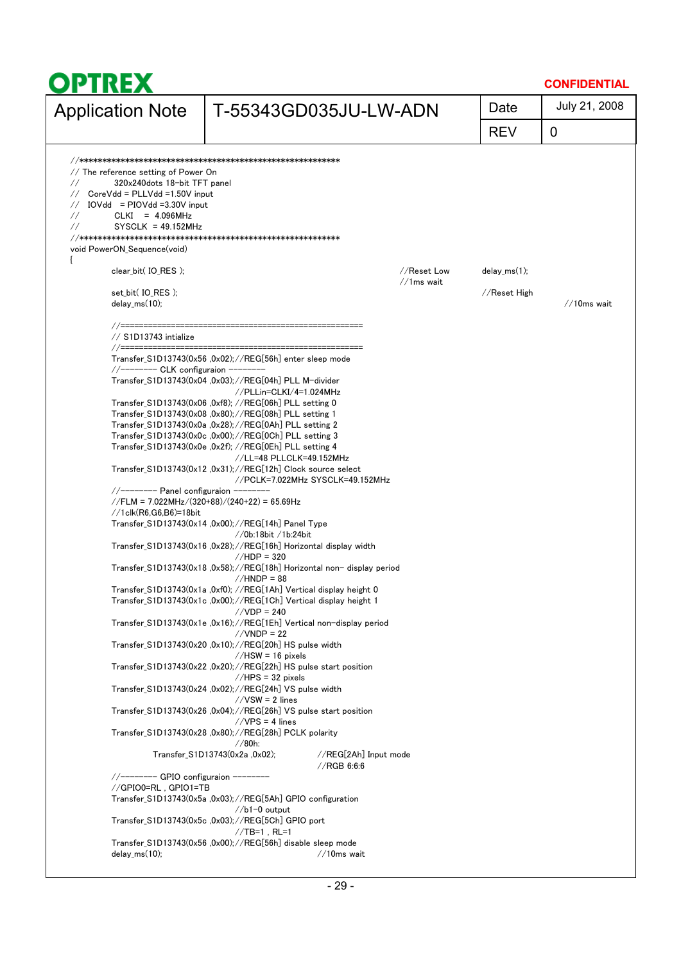|                                                                                                                                                                                                                                                                                                                                   |                                                                                                                                                                                                                                                                                                                                                                                                                                                                                                                                                                                                                                                                                                                                                                                                                                                                                                                                                                                                                                                                                                                                                                                                                                                                                                                                                                                                                                                                                                                                                                                                                                                                                                                                                    |              |                | <b>CONFIDENTIAL</b> |
|-----------------------------------------------------------------------------------------------------------------------------------------------------------------------------------------------------------------------------------------------------------------------------------------------------------------------------------|----------------------------------------------------------------------------------------------------------------------------------------------------------------------------------------------------------------------------------------------------------------------------------------------------------------------------------------------------------------------------------------------------------------------------------------------------------------------------------------------------------------------------------------------------------------------------------------------------------------------------------------------------------------------------------------------------------------------------------------------------------------------------------------------------------------------------------------------------------------------------------------------------------------------------------------------------------------------------------------------------------------------------------------------------------------------------------------------------------------------------------------------------------------------------------------------------------------------------------------------------------------------------------------------------------------------------------------------------------------------------------------------------------------------------------------------------------------------------------------------------------------------------------------------------------------------------------------------------------------------------------------------------------------------------------------------------------------------------------------------------|--------------|----------------|---------------------|
| <b>Application Note</b>                                                                                                                                                                                                                                                                                                           | T-55343GD035JU-LW-ADN                                                                                                                                                                                                                                                                                                                                                                                                                                                                                                                                                                                                                                                                                                                                                                                                                                                                                                                                                                                                                                                                                                                                                                                                                                                                                                                                                                                                                                                                                                                                                                                                                                                                                                                              |              | Date           | July 21, 2008       |
|                                                                                                                                                                                                                                                                                                                                   |                                                                                                                                                                                                                                                                                                                                                                                                                                                                                                                                                                                                                                                                                                                                                                                                                                                                                                                                                                                                                                                                                                                                                                                                                                                                                                                                                                                                                                                                                                                                                                                                                                                                                                                                                    |              | <b>REV</b>     | 0                   |
| // The reference setting of Power On<br>320x240dots 18-bit TFT panel<br>$\frac{1}{2}$<br>$CoreVdd = PLLVdd = 1.50V$ input<br>$\frac{1}{2}$<br>$IOVdd = PIOVdd = 3.30V input$<br>$\frac{1}{2}$<br>$CLKI = 4.096MHz$<br>$\frac{1}{2}$<br>$\frac{1}{2}$<br>$SYSCLK = 49.152MHz$<br>void PowerON_Sequence(void)<br>clear_bit(IO_RES); |                                                                                                                                                                                                                                                                                                                                                                                                                                                                                                                                                                                                                                                                                                                                                                                                                                                                                                                                                                                                                                                                                                                                                                                                                                                                                                                                                                                                                                                                                                                                                                                                                                                                                                                                                    | //Reset Low  | $delay_ms(1);$ |                     |
| set_bit( IO_RES );<br>delay $ms(10)$ ;<br>//=======================                                                                                                                                                                                                                                                               |                                                                                                                                                                                                                                                                                                                                                                                                                                                                                                                                                                                                                                                                                                                                                                                                                                                                                                                                                                                                                                                                                                                                                                                                                                                                                                                                                                                                                                                                                                                                                                                                                                                                                                                                                    | $//1ms$ wait | //Reset High   | $//10ms$ wait       |
| // S1D13743 intialize<br>//-------- CLK configuraion --------<br>$\frac{1}{2}$ //------- Panel configuraion -<br>$//1$ clk $(R6, G6, B6) = 18$ bit<br>//-------- GPIO configuraion --------<br>//GPIO0=RL, GPIO1=TB                                                                                                               | Transfer_S1D13743(0x56 ,0x02);//REG[56h] enter sleep mode<br>Transfer S1D13743(0x04 ,0x03); //REG[04h] PLL M-divider<br>//PLLin=CLKI/4=1.024MHz<br>Transfer_S1D13743(0x06 ,0xf8); //REG[06h] PLL setting 0<br>Transfer_S1D13743(0x08 ,0x80);//REG[08h] PLL setting 1<br>Transfer S1D13743(0x0a ,0x28); //REG[0Ah] PLL setting 2<br>Transfer_S1D13743(0x0c ,0x00);//REG[0Ch] PLL setting 3<br>Transfer_S1D13743(0x0e ,0x2f); //REG[0Eh] PLL setting 4<br>//LL=48 PLLCLK=49.152MHz<br>Transfer_S1D13743(0x12,0x31);//REG[12h] Clock source select<br>//PCLK=7.022MHz SYSCLK=49.152MHz<br>//FLM = 7.022MHz/(320+88)/(240+22) = 65.69Hz<br>Transfer_S1D13743(0x14,0x00);//REG[14h] Panel Type<br>$//$ 0b:18bit /1b:24bit<br>Transfer_S1D13743(0x16 ,0x28);//REG[16h] Horizontal display width<br>$//HDP = 320$<br>Transfer S1D13743(0x18,0x58);//REG[18h] Horizontal non-display period<br>$//HNDP = 88$<br>Transfer_S1D13743(0x1a,0xf0); //REG[1Ah] Vertical display height 0<br>Transfer_S1D13743(0x1c,0x00);//REG[1Ch] Vertical display height 1<br>$//VDP = 240$<br>Transfer_S1D13743(0x1e ,0x16); //REG[1Eh] Vertical non-display period<br>$//VNDP = 22$<br>Transfer_S1D13743(0x20 ,0x10);//REG[20h] HS pulse width<br>$//$ HSW = 16 pixels<br>Transfer S1D13743(0x22 ,0x20);//REG[22h] HS pulse start position<br>$//HPS = 32 pixels$<br>Transfer_S1D13743(0x24 ,0x02);//REG[24h] VS pulse width<br>$//VSW = 2$ lines<br>Transfer_S1D13743(0x26 ,0x04);//REG[26h] VS pulse start position<br>$//VPS = 4$ lines<br>Transfer_S1D13743(0x28 ,0x80); //REG[28h] PCLK polarity<br>//80h:<br>Transfer_S1D13743(0x2a, 0x02);<br>//REG[2Ah] Input mode<br>//RGB 6:6:6<br>Transfer_S1D13743(0x5a ,0x03);//REG[5Ah] GPIO configuration<br>$//b1-0$ output |              |                |                     |
| $delay_ms(10)$ ;                                                                                                                                                                                                                                                                                                                  | Transfer_S1D13743(0x5c ,0x03);//REG[5Ch] GPIO port<br>$//TB=1$ , RL=1<br>Transfer_S1D13743(0x56 ,0x00);//REG[56h] disable sleep mode<br>$//10ms$ wait                                                                                                                                                                                                                                                                                                                                                                                                                                                                                                                                                                                                                                                                                                                                                                                                                                                                                                                                                                                                                                                                                                                                                                                                                                                                                                                                                                                                                                                                                                                                                                                              |              |                |                     |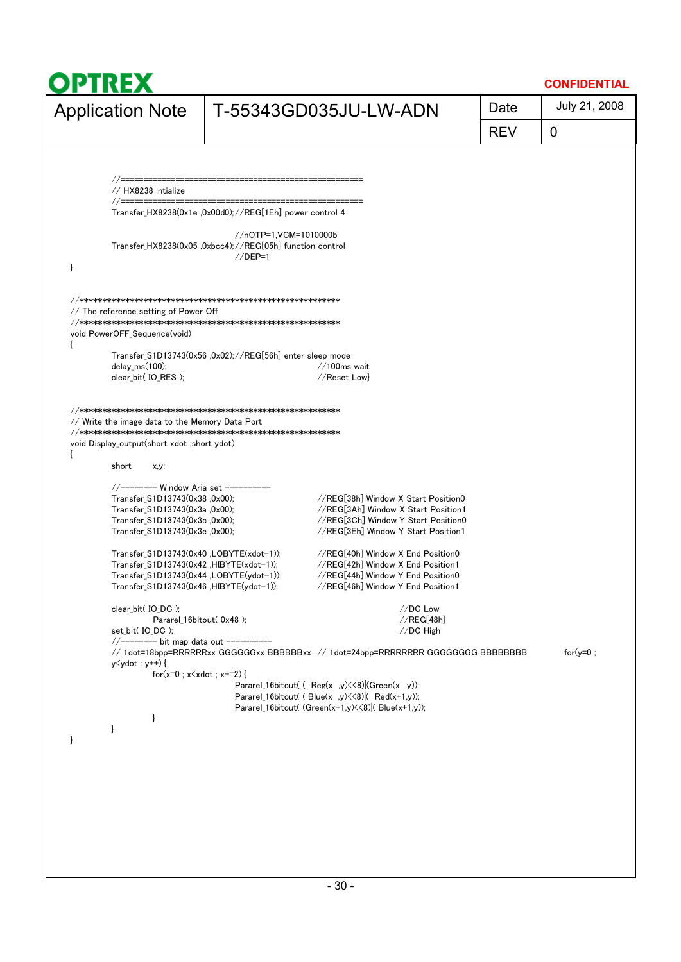|                                                                                                                                                                                                                                                                         |                                                                                                  |                                                                                                                                                                                                                                  | Date       | July 21, 2008 |
|-------------------------------------------------------------------------------------------------------------------------------------------------------------------------------------------------------------------------------------------------------------------------|--------------------------------------------------------------------------------------------------|----------------------------------------------------------------------------------------------------------------------------------------------------------------------------------------------------------------------------------|------------|---------------|
| <b>Application Note</b>                                                                                                                                                                                                                                                 |                                                                                                  | T-55343GD035JU-LW-ADN                                                                                                                                                                                                            | <b>REV</b> | 0             |
|                                                                                                                                                                                                                                                                         |                                                                                                  |                                                                                                                                                                                                                                  |            |               |
|                                                                                                                                                                                                                                                                         |                                                                                                  |                                                                                                                                                                                                                                  |            |               |
| // HX8238 intialize<br>//============                                                                                                                                                                                                                                   |                                                                                                  |                                                                                                                                                                                                                                  |            |               |
|                                                                                                                                                                                                                                                                         | Transfer HX8238(0x1e ,0x00d0); //REG[1Eh] power control 4                                        |                                                                                                                                                                                                                                  |            |               |
| ł                                                                                                                                                                                                                                                                       | //nOTP=1,VCM=1010000b<br>Transfer_HX8238(0x05 ,0xbcc4);//REG[05h] function control<br>$//$ DEP=1 |                                                                                                                                                                                                                                  |            |               |
| // The reference setting of Power Off<br>void PowerOFF_Sequence(void)                                                                                                                                                                                                   |                                                                                                  |                                                                                                                                                                                                                                  |            |               |
|                                                                                                                                                                                                                                                                         | Transfer_S1D13743(0x56 ,0x02);//REG[56h] enter sleep mode                                        |                                                                                                                                                                                                                                  |            |               |
| delay_ms $(100)$ ;<br>clear bit(IO RES);                                                                                                                                                                                                                                |                                                                                                  | $//100ms$ wait<br>//Reset Lowl                                                                                                                                                                                                   |            |               |
|                                                                                                                                                                                                                                                                         |                                                                                                  | //REG[38h] Window X Start Position0                                                                                                                                                                                              |            |               |
| Transfer_S1D13743(0x38,0x00);<br>Transfer_S1D13743(0x3a,0x00);<br>Transfer_S1D13743(0x3c,0x00);<br>Transfer_S1D13743(0x3e,0x00);<br>Transfer S1D13743(0x40 , LOBYTE(xdot-1));<br>$Transfer\_S1D13743(0x42, HIBYTE(xdot-1));$<br>Transfer_S1D13743(0x44,LOBYTE(ydot-1)); |                                                                                                  | //REG[3Ah] Window X Start Position1<br>//REG[3Ch] Window Y Start Position0<br>//REG[3Eh] Window Y Start Position1<br>//REG[40h] Window X End Position0<br>//REG[42h] Window X End Position1<br>//REG[44h] Window Y End Position0 |            |               |
| Transfer_S1D13743(0x46, HIBYTE(ydot-1));                                                                                                                                                                                                                                |                                                                                                  | //REG[46h] Window Y End Position1                                                                                                                                                                                                |            |               |
| clear_bit( IO_DC );                                                                                                                                                                                                                                                     | Pararel_16bitout(0x48);                                                                          | //DC Low<br>//REG[48h]                                                                                                                                                                                                           |            |               |
| set bit(IO DC);<br>//-------- bit map data out ----------<br>$y \le y$ dot; $y$ ++) {                                                                                                                                                                                   |                                                                                                  | //DC High<br>// 1dot=18bpp=RRRRRRxx GGGGGGxx BBBBBBxx // 1dot=24bpp=RRRRRRRR GGGGGGGG BBBBBBBB                                                                                                                                   |            | for $(y=0;$   |
|                                                                                                                                                                                                                                                                         | $for(x=0; x\le xdet; x+=2)$                                                                      | Pararel_16bitout( $($ Reg(x ,y) $\lt\lt 8$ )(Green(x ,y));<br>Pararel_16bitout( $\left($ Blue(x ,y) $\left(\frac{8}{8}\right)$ Red(x+1,y));<br>Pararel_16bitout( (Green(x+1,y) << 8) ( Blue(x+1,y));                             |            |               |
| $\mathbf{I}$<br>$\mathcal{L}$                                                                                                                                                                                                                                           |                                                                                                  |                                                                                                                                                                                                                                  |            |               |
|                                                                                                                                                                                                                                                                         |                                                                                                  |                                                                                                                                                                                                                                  |            |               |